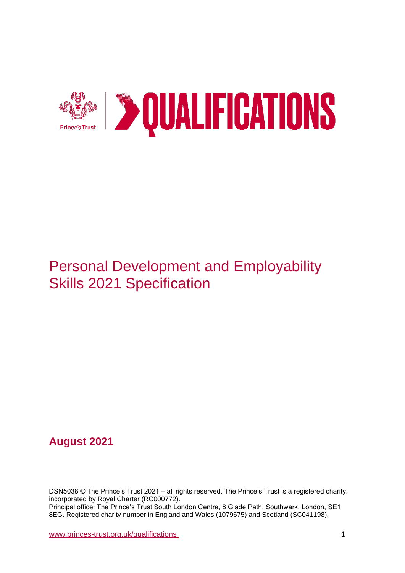

# Personal Development and Employability Skills 2021 Specification

# **August 2021**

DSN5038 © The Prince's Trust 2021 – all rights reserved. The Prince's Trust is a registered charity, incorporated by Royal Charter (RC000772). Principal office: The Prince's Trust South London Centre, 8 Glade Path, Southwark, London, SE1 8EG. Registered charity number in England and Wales (1079675) and Scotland (SC041198).

[www.princes-trust.org.uk/qualifications](http://www.princes-trust.org.uk/qualifications) 1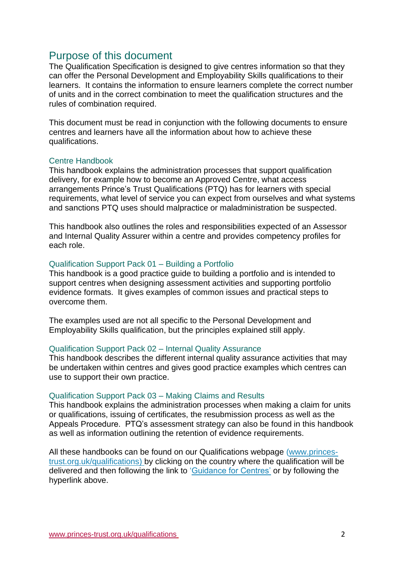# <span id="page-1-0"></span>Purpose of this document

The Qualification Specification is designed to give centres information so that they can offer the Personal Development and Employability Skills qualifications to their learners. It contains the information to ensure learners complete the correct number of units and in the correct combination to meet the qualification structures and the rules of combination required.

This document must be read in conjunction with the following documents to ensure centres and learners have all the information about how to achieve these qualifications.

### Centre Handbook

This handbook explains the administration processes that support qualification delivery, for example how to become an Approved Centre, what access arrangements Prince's Trust Qualifications (PTQ) has for learners with special requirements, what level of service you can expect from ourselves and what systems and sanctions PTQ uses should malpractice or maladministration be suspected.

This handbook also outlines the roles and responsibilities expected of an Assessor and Internal Quality Assurer within a centre and provides competency profiles for each role.

### Qualification Support Pack 01 – Building a Portfolio

This handbook is a good practice guide to building a portfolio and is intended to support centres when designing assessment activities and supporting portfolio evidence formats. It gives examples of common issues and practical steps to overcome them.

The examples used are not all specific to the Personal Development and Employability Skills qualification, but the principles explained still apply.

#### Qualification Support Pack 02 – Internal Quality Assurance

This handbook describes the different internal quality assurance activities that may be undertaken within centres and gives good practice examples which centres can use to support their own practice.

#### Qualification Support Pack 03 – Making Claims and Results

This handbook explains the administration processes when making a claim for units or qualifications, issuing of certificates, the resubmission process as well as the Appeals Procedure. PTQ's assessment strategy can also be found in this handbook as well as information outlining the retention of evidence requirements.

All these handbooks can be found on our Qualifications webpage [\(www.princes](http://www.princes-trust.org.uk/qualifications)[trust.org.uk/qualifications\)](http://www.princes-trust.org.uk/qualifications) by clicking on the country where the qualification will be delivered and then following the link to ['Guidance for Centres'](https://www.princes-trust.org.uk/about-the-trust/qualifications/guidance-for-centres) or by following the hyperlink above.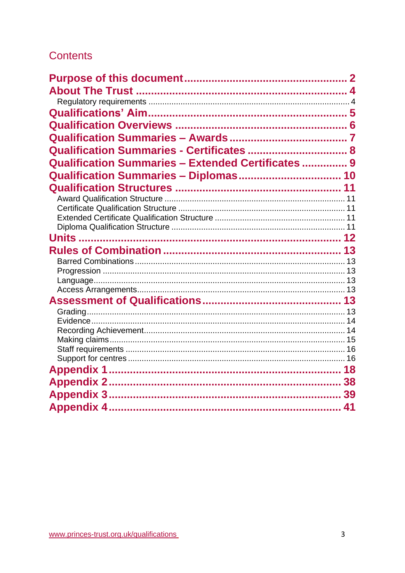# **Contents**

| Qualification Summaries - Certificates  8          |  |
|----------------------------------------------------|--|
| Qualification Summaries - Extended Certificates  9 |  |
| Qualification Summaries - Diplomas 10              |  |
|                                                    |  |
|                                                    |  |
|                                                    |  |
|                                                    |  |
|                                                    |  |
|                                                    |  |
|                                                    |  |
|                                                    |  |
|                                                    |  |
|                                                    |  |
|                                                    |  |
|                                                    |  |
|                                                    |  |
|                                                    |  |
|                                                    |  |
|                                                    |  |
|                                                    |  |
|                                                    |  |
|                                                    |  |
|                                                    |  |
|                                                    |  |
|                                                    |  |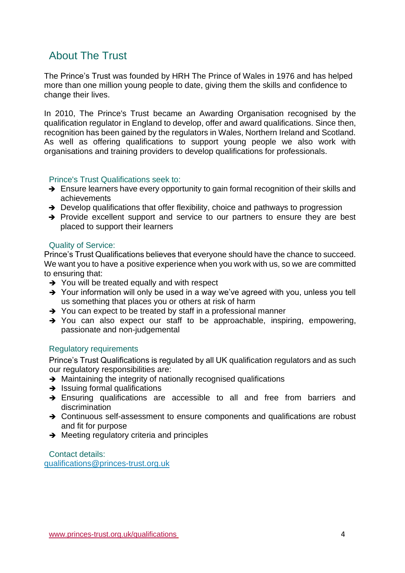# <span id="page-3-0"></span>About The Trust

The Prince's Trust was founded by HRH The Prince of Wales in 1976 and has helped more than one million young people to date, giving them the skills and confidence to change their lives.

In 2010, The Prince's Trust became an Awarding Organisation recognised by the qualification regulator in England to develop, offer and award qualifications. Since then, recognition has been gained by the regulators in Wales, Northern Ireland and Scotland. As well as offering qualifications to support young people we also work with organisations and training providers to develop qualifications for professionals.

### Prince's Trust Qualifications seek to:

- ➔ Ensure learners have every opportunity to gain formal recognition of their skills and achievements
- ➔ Develop qualifications that offer flexibility, choice and pathways to progression
- ➔ Provide excellent support and service to our partners to ensure they are best placed to support their learners

### Quality of Service:

Prince's Trust Qualifications believes that everyone should have the chance to succeed. We want you to have a positive experience when you work with us, so we are committed to ensuring that:

- ➔ You will be treated equally and with respect
- → Your information will only be used in a way we've agreed with you, unless you tell us something that places you or others at risk of harm
- ➔ You can expect to be treated by staff in a professional manner
- ➔ You can also expect our staff to be approachable, inspiring, empowering, passionate and non-judgemental

### <span id="page-3-1"></span>Regulatory requirements

Prince's Trust Qualifications is regulated by all UK qualification regulators and as such our regulatory responsibilities are:

- **→** Maintaining the integrity of nationally recognised qualifications
- $\rightarrow$  Issuing formal qualifications
- → Ensuring qualifications are accessible to all and free from barriers and discrimination
- → Continuous self-assessment to ensure components and qualifications are robust and fit for purpose
- ➔ Meeting regulatory criteria and principles

Contact details: [qualifications@princes-trust.org.uk](mailto:qualifications@princes-trust.org.uk)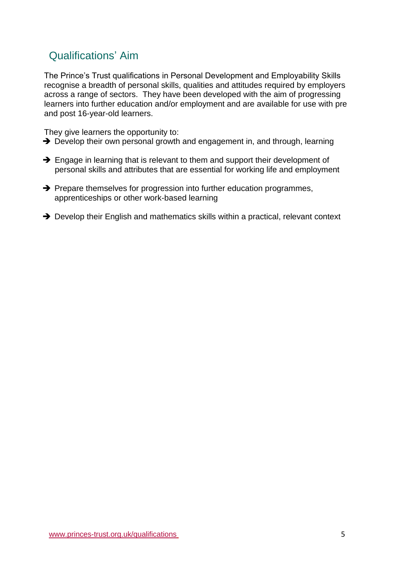# <span id="page-4-0"></span>Qualifications' Aim

The Prince's Trust qualifications in Personal Development and Employability Skills recognise a breadth of personal skills, qualities and attitudes required by employers across a range of sectors. They have been developed with the aim of progressing learners into further education and/or employment and are available for use with pre and post 16-year-old learners.

They give learners the opportunity to:

- → Develop their own personal growth and engagement in, and through, learning
- ➔ Engage in learning that is relevant to them and support their development of personal skills and attributes that are essential for working life and employment
- **→** Prepare themselves for progression into further education programmes, apprenticeships or other work-based learning
- → Develop their English and mathematics skills within a practical, relevant context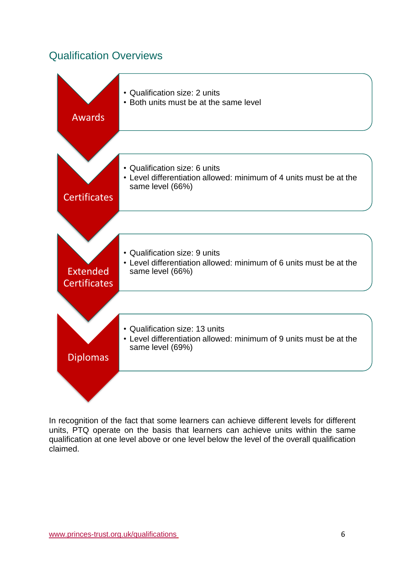# <span id="page-5-0"></span>Qualification Overviews



In recognition of the fact that some learners can achieve different levels for different units, PTQ operate on the basis that learners can achieve units within the same qualification at one level above or one level below the level of the overall qualification claimed.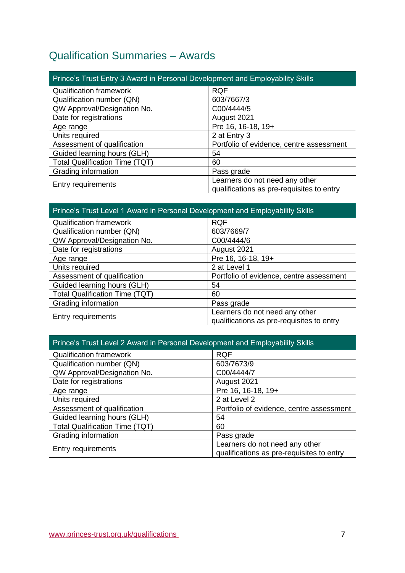# <span id="page-6-0"></span>Qualification Summaries – Awards

| Prince's Trust Entry 3 Award in Personal Development and Employability Skills |                                                                             |  |
|-------------------------------------------------------------------------------|-----------------------------------------------------------------------------|--|
| <b>Qualification framework</b>                                                | <b>RQF</b>                                                                  |  |
| Qualification number (QN)                                                     | 603/7667/3                                                                  |  |
| QW Approval/Designation No.                                                   | C00/4444/5                                                                  |  |
| Date for registrations                                                        | August 2021                                                                 |  |
| Age range                                                                     | Pre 16, 16-18, 19+                                                          |  |
| Units required                                                                | 2 at Entry 3                                                                |  |
| Assessment of qualification                                                   | Portfolio of evidence, centre assessment                                    |  |
| Guided learning hours (GLH)                                                   | 54                                                                          |  |
| <b>Total Qualification Time (TQT)</b>                                         | 60                                                                          |  |
| Grading information                                                           | Pass grade                                                                  |  |
| Entry requirements                                                            | Learners do not need any other<br>qualifications as pre-requisites to entry |  |

## Prince's Trust Level 1 Award in Personal Development and Employability Skills

| <b>Qualification framework</b>        | <b>RQF</b>                                                                  |
|---------------------------------------|-----------------------------------------------------------------------------|
| Qualification number (QN)             | 603/7669/7                                                                  |
| QW Approval/Designation No.           | C00/4444/6                                                                  |
| Date for registrations                | August 2021                                                                 |
| Age range                             | Pre 16, 16-18, 19+                                                          |
| Units required                        | 2 at Level 1                                                                |
| Assessment of qualification           | Portfolio of evidence, centre assessment                                    |
| Guided learning hours (GLH)           | 54                                                                          |
| <b>Total Qualification Time (TQT)</b> | 60                                                                          |
| Grading information                   | Pass grade                                                                  |
| Entry requirements                    | Learners do not need any other<br>qualifications as pre-requisites to entry |

## Prince's Trust Level 2 Award in Personal Development and Employability Skills

| <b>RQF</b>                                                                  |
|-----------------------------------------------------------------------------|
| 603/7673/9                                                                  |
| C00/4444/7                                                                  |
| August 2021                                                                 |
| Pre 16, 16-18, 19+                                                          |
| 2 at Level 2                                                                |
| Portfolio of evidence, centre assessment                                    |
| 54                                                                          |
| 60                                                                          |
| Pass grade                                                                  |
| Learners do not need any other<br>qualifications as pre-requisites to entry |
|                                                                             |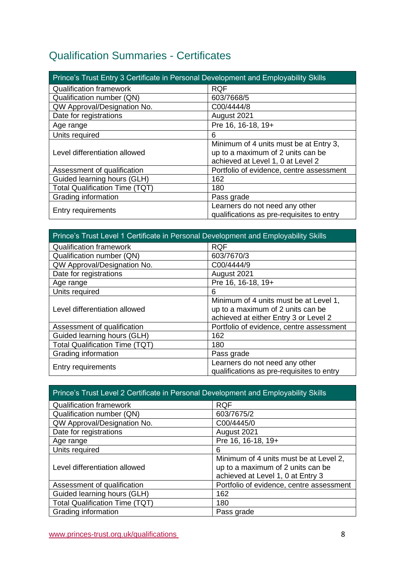# <span id="page-7-0"></span>Qualification Summaries - Certificates

| Prince's Trust Entry 3 Certificate in Personal Development and Employability Skills |                                                                                                                  |  |
|-------------------------------------------------------------------------------------|------------------------------------------------------------------------------------------------------------------|--|
| <b>Qualification framework</b>                                                      | <b>RQF</b>                                                                                                       |  |
| Qualification number (QN)                                                           | 603/7668/5                                                                                                       |  |
| QW Approval/Designation No.                                                         | C00/4444/8                                                                                                       |  |
| Date for registrations                                                              | August 2021                                                                                                      |  |
| Age range                                                                           | Pre 16, 16-18, 19+                                                                                               |  |
| Units required                                                                      | 6                                                                                                                |  |
| Level differentiation allowed                                                       | Minimum of 4 units must be at Entry 3,<br>up to a maximum of 2 units can be<br>achieved at Level 1, 0 at Level 2 |  |
| Assessment of qualification                                                         | Portfolio of evidence, centre assessment                                                                         |  |
| Guided learning hours (GLH)                                                         | 162                                                                                                              |  |
| <b>Total Qualification Time (TQT)</b>                                               | 180                                                                                                              |  |
| Grading information                                                                 | Pass grade                                                                                                       |  |
| Entry requirements                                                                  | Learners do not need any other<br>qualifications as pre-requisites to entry                                      |  |

| Prince's Trust Level 1 Certificate in Personal Development and Employability Skills |                                           |  |
|-------------------------------------------------------------------------------------|-------------------------------------------|--|
| <b>Qualification framework</b>                                                      | <b>RQF</b>                                |  |
| Qualification number (QN)                                                           | 603/7670/3                                |  |
| QW Approval/Designation No.                                                         | C00/4444/9                                |  |
| Date for registrations                                                              | August 2021                               |  |
| Age range                                                                           | Pre 16, 16-18, 19+                        |  |
| Units required                                                                      | 6                                         |  |
| Level differentiation allowed                                                       | Minimum of 4 units must be at Level 1,    |  |
|                                                                                     | up to a maximum of 2 units can be         |  |
|                                                                                     | achieved at either Entry 3 or Level 2     |  |
| Assessment of qualification                                                         | Portfolio of evidence, centre assessment  |  |
| Guided learning hours (GLH)                                                         | 162                                       |  |
| <b>Total Qualification Time (TQT)</b>                                               | 180                                       |  |
| Grading information                                                                 | Pass grade                                |  |
| Entry requirements                                                                  | Learners do not need any other            |  |
|                                                                                     | qualifications as pre-requisites to entry |  |

| Prince's Trust Level 2 Certificate in Personal Development and Employability Skills |                                                                                                                  |
|-------------------------------------------------------------------------------------|------------------------------------------------------------------------------------------------------------------|
| <b>Qualification framework</b>                                                      | <b>RQF</b>                                                                                                       |
| Qualification number (QN)                                                           | 603/7675/2                                                                                                       |
| QW Approval/Designation No.                                                         | C00/4445/0                                                                                                       |
| Date for registrations                                                              | August 2021                                                                                                      |
| Age range                                                                           | Pre 16, 16-18, 19+                                                                                               |
| Units required                                                                      | 6                                                                                                                |
| Level differentiation allowed                                                       | Minimum of 4 units must be at Level 2,<br>up to a maximum of 2 units can be<br>achieved at Level 1, 0 at Entry 3 |
| Assessment of qualification                                                         | Portfolio of evidence, centre assessment                                                                         |
| Guided learning hours (GLH)                                                         | 162                                                                                                              |
| <b>Total Qualification Time (TQT)</b>                                               | 180                                                                                                              |
| Grading information                                                                 | Pass grade                                                                                                       |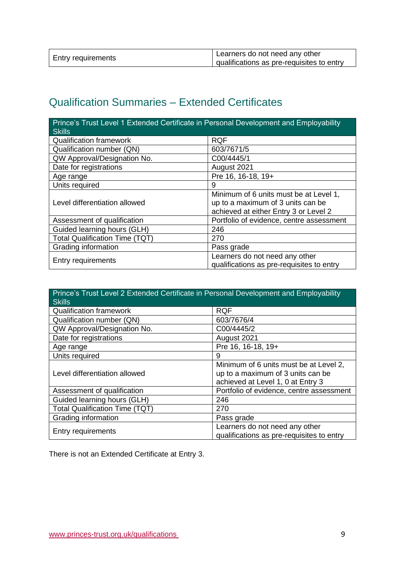| <b>Entry requirements</b> | Learners do not need any other            |
|---------------------------|-------------------------------------------|
|                           | qualifications as pre-requisites to entry |

# <span id="page-8-0"></span>Qualification Summaries – Extended Certificates

| Prince's Trust Level 1 Extended Certificate in Personal Development and Employability<br><b>Skills</b> |                                                                                                                      |  |
|--------------------------------------------------------------------------------------------------------|----------------------------------------------------------------------------------------------------------------------|--|
| <b>Qualification framework</b>                                                                         | <b>RQF</b>                                                                                                           |  |
| Qualification number (QN)                                                                              | 603/7671/5                                                                                                           |  |
| QW Approval/Designation No.                                                                            | C00/4445/1                                                                                                           |  |
| Date for registrations                                                                                 | August 2021                                                                                                          |  |
| Age range                                                                                              | Pre 16, 16-18, 19+                                                                                                   |  |
| Units required                                                                                         | 9                                                                                                                    |  |
| Level differentiation allowed                                                                          | Minimum of 6 units must be at Level 1,<br>up to a maximum of 3 units can be<br>achieved at either Entry 3 or Level 2 |  |
| Assessment of qualification                                                                            | Portfolio of evidence, centre assessment                                                                             |  |
| Guided learning hours (GLH)                                                                            | 246                                                                                                                  |  |
| <b>Total Qualification Time (TQT)</b>                                                                  | 270                                                                                                                  |  |
| Grading information                                                                                    | Pass grade                                                                                                           |  |
| <b>Entry requirements</b>                                                                              | Learners do not need any other<br>qualifications as pre-requisites to entry                                          |  |

| Prince's Trust Level 2 Extended Certificate in Personal Development and Employability<br><b>Skills</b> |                                                                                                                  |
|--------------------------------------------------------------------------------------------------------|------------------------------------------------------------------------------------------------------------------|
| <b>Qualification framework</b>                                                                         | <b>RQF</b>                                                                                                       |
| Qualification number (QN)                                                                              | 603/7676/4                                                                                                       |
| QW Approval/Designation No.                                                                            | C00/4445/2                                                                                                       |
| Date for registrations                                                                                 | August 2021                                                                                                      |
| Age range                                                                                              | Pre 16, 16-18, 19+                                                                                               |
| Units required                                                                                         | 9                                                                                                                |
| Level differentiation allowed                                                                          | Minimum of 6 units must be at Level 2,<br>up to a maximum of 3 units can be<br>achieved at Level 1, 0 at Entry 3 |
| Assessment of qualification                                                                            | Portfolio of evidence, centre assessment                                                                         |
| Guided learning hours (GLH)                                                                            | 246                                                                                                              |
| <b>Total Qualification Time (TQT)</b>                                                                  | 270                                                                                                              |
| Grading information                                                                                    | Pass grade                                                                                                       |
| Entry requirements                                                                                     | Learners do not need any other<br>qualifications as pre-requisites to entry                                      |

There is not an Extended Certificate at Entry 3.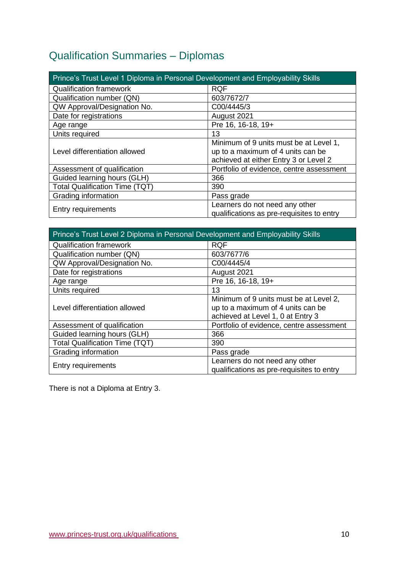# <span id="page-9-0"></span>Qualification Summaries – Diplomas

| <b>Prince's Trust Level 1 Diploma in Personal Development and Employability Skills</b> |                                                                                                                      |  |
|----------------------------------------------------------------------------------------|----------------------------------------------------------------------------------------------------------------------|--|
| <b>Qualification framework</b>                                                         | <b>RQF</b>                                                                                                           |  |
| Qualification number (QN)                                                              | 603/7672/7                                                                                                           |  |
| QW Approval/Designation No.                                                            | C00/4445/3                                                                                                           |  |
| Date for registrations                                                                 | August 2021                                                                                                          |  |
| Age range                                                                              | Pre 16, 16-18, 19+                                                                                                   |  |
| Units required                                                                         | 13                                                                                                                   |  |
| Level differentiation allowed                                                          | Minimum of 9 units must be at Level 1,<br>up to a maximum of 4 units can be<br>achieved at either Entry 3 or Level 2 |  |
| Assessment of qualification                                                            | Portfolio of evidence, centre assessment                                                                             |  |
| Guided learning hours (GLH)                                                            | 366                                                                                                                  |  |
| <b>Total Qualification Time (TQT)</b>                                                  | 390                                                                                                                  |  |
| Grading information                                                                    | Pass grade                                                                                                           |  |
| <b>Entry requirements</b>                                                              | Learners do not need any other<br>qualifications as pre-requisites to entry                                          |  |

| Prince's Trust Level 2 Diploma in Personal Development and Employability Skills |                                                                                                                  |  |
|---------------------------------------------------------------------------------|------------------------------------------------------------------------------------------------------------------|--|
| <b>Qualification framework</b>                                                  | <b>RQF</b>                                                                                                       |  |
| Qualification number (QN)                                                       | 603/7677/6                                                                                                       |  |
| QW Approval/Designation No.                                                     | C00/4445/4                                                                                                       |  |
| Date for registrations                                                          | August 2021                                                                                                      |  |
| Age range                                                                       | Pre 16, 16-18, 19+                                                                                               |  |
| Units required                                                                  | 13                                                                                                               |  |
| Level differentiation allowed                                                   | Minimum of 9 units must be at Level 2,<br>up to a maximum of 4 units can be<br>achieved at Level 1, 0 at Entry 3 |  |
| Assessment of qualification                                                     | Portfolio of evidence, centre assessment                                                                         |  |
| Guided learning hours (GLH)                                                     | 366                                                                                                              |  |
| <b>Total Qualification Time (TQT)</b>                                           | 390                                                                                                              |  |
| Grading information                                                             | Pass grade                                                                                                       |  |
| <b>Entry requirements</b>                                                       | Learners do not need any other<br>qualifications as pre-requisites to entry                                      |  |

There is not a Diploma at Entry 3.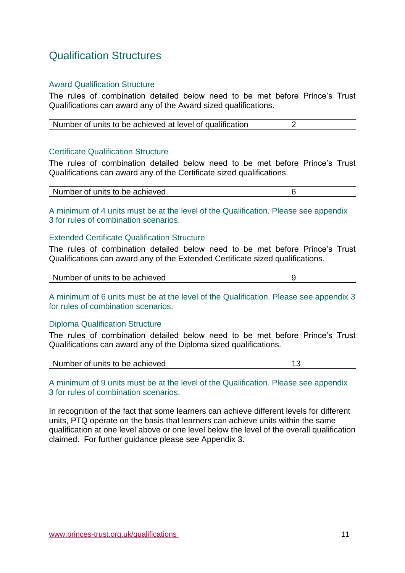# <span id="page-10-0"></span>Qualification Structures

## <span id="page-10-1"></span>Award Qualification Structure

The rules of combination detailed below need to be met before Prince's Trust Qualifications can award any of the Award sized qualifications.

| Number of units to be achieved at level of qualification |  |  |
|----------------------------------------------------------|--|--|
|----------------------------------------------------------|--|--|

### <span id="page-10-2"></span>Certificate Qualification Structure

The rules of combination detailed below need to be met before Prince's Trust Qualifications can award any of the Certificate sized qualifications.

| Number of units to be achieved |  |
|--------------------------------|--|

A minimum of 4 units must be at the level of the Qualification. Please see appendix 3 for rules of combination scenarios.

### <span id="page-10-3"></span>Extended Certificate Qualification Structure

The rules of combination detailed below need to be met before Prince's Trust Qualifications can award any of the Extended Certificate sized qualifications.

| Number of units to be achieved |  |
|--------------------------------|--|
|--------------------------------|--|

A minimum of 6 units must be at the level of the Qualification. Please see appendix 3 for rules of combination scenarios.

### <span id="page-10-4"></span>Diploma Qualification Structure

The rules of combination detailed below need to be met before Prince's Trust Qualifications can award any of the Diploma sized qualifications.

| Number of units to be achieved |  |
|--------------------------------|--|
|--------------------------------|--|

A minimum of 9 units must be at the level of the Qualification. Please see appendix 3 for rules of combination scenarios.

In recognition of the fact that some learners can achieve different levels for different units, PTQ operate on the basis that learners can achieve units within the same qualification at one level above or one level below the level of the overall qualification claimed. For further guidance please see Appendix 3.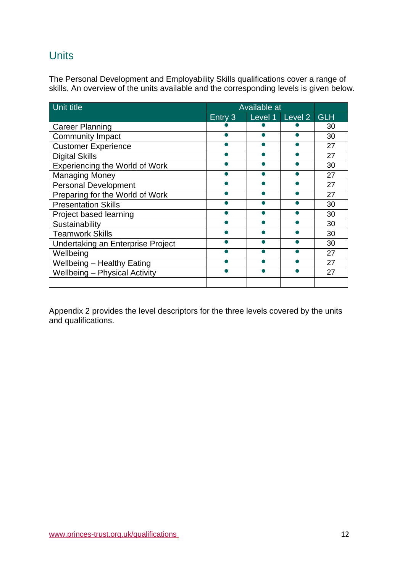# <span id="page-11-0"></span>**Units**

The Personal Development and Employability Skills qualifications cover a range of skills. An overview of the units available and the corresponding levels is given below.

| Unit title                            | <b>Available at</b> |  |                 |            |
|---------------------------------------|---------------------|--|-----------------|------------|
|                                       | Entry 3             |  | Level 1 Level 2 | <b>GLH</b> |
| <b>Career Planning</b>                |                     |  |                 | 30         |
| <b>Community Impact</b>               |                     |  |                 | 30         |
| <b>Customer Experience</b>            |                     |  |                 | 27         |
| <b>Digital Skills</b>                 |                     |  |                 | 27         |
| <b>Experiencing the World of Work</b> |                     |  |                 | 30         |
| <b>Managing Money</b>                 |                     |  |                 | 27         |
| <b>Personal Development</b>           |                     |  |                 | 27         |
| Preparing for the World of Work       |                     |  |                 | 27         |
| <b>Presentation Skills</b>            |                     |  |                 | 30         |
| Project based learning                |                     |  |                 | 30         |
| Sustainability                        |                     |  |                 | 30         |
| <b>Teamwork Skills</b>                |                     |  |                 | 30         |
| Undertaking an Enterprise Project     |                     |  |                 | 30         |
| Wellbeing                             |                     |  |                 | 27         |
| <b>Wellbeing - Healthy Eating</b>     |                     |  |                 | 27         |
| <b>Wellbeing - Physical Activity</b>  |                     |  |                 | 27         |
|                                       |                     |  |                 |            |

Appendix 2 provides the level descriptors for the three levels covered by the units and qualifications.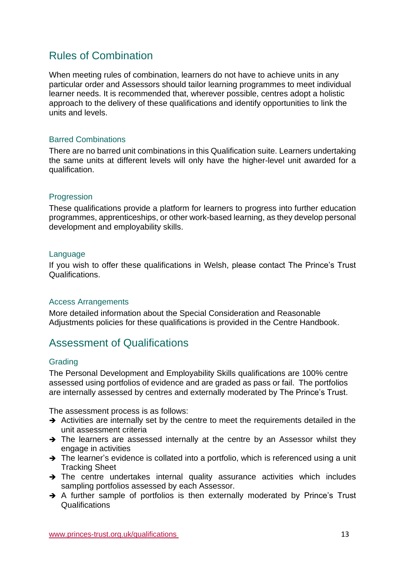# <span id="page-12-0"></span>Rules of Combination

When meeting rules of combination, learners do not have to achieve units in any particular order and Assessors should tailor learning programmes to meet individual learner needs. It is recommended that, wherever possible, centres adopt a holistic approach to the delivery of these qualifications and identify opportunities to link the units and levels.

## <span id="page-12-1"></span>Barred Combinations

There are no barred unit combinations in this Qualification suite. Learners undertaking the same units at different levels will only have the higher-level unit awarded for a qualification.

### <span id="page-12-2"></span>Progression

These qualifications provide a platform for learners to progress into further education programmes, apprenticeships, or other work-based learning, as they develop personal development and employability skills.

### <span id="page-12-3"></span>Language

If you wish to offer these qualifications in Welsh, please contact The Prince's Trust Qualifications.

### <span id="page-12-4"></span>Access Arrangements

More detailed information about the Special Consideration and Reasonable Adjustments policies for these qualifications is provided in the Centre Handbook.

# <span id="page-12-5"></span>Assessment of Qualifications

### <span id="page-12-6"></span>**Grading**

The Personal Development and Employability Skills qualifications are 100% centre assessed using portfolios of evidence and are graded as pass or fail. The portfolios are internally assessed by centres and externally moderated by The Prince's Trust.

The assessment process is as follows:

- ➔ Activities are internally set by the centre to meet the requirements detailed in the unit assessment criteria
- → The learners are assessed internally at the centre by an Assessor whilst they engage in activities
- → The learner's evidence is collated into a portfolio, which is referenced using a unit Tracking Sheet
- ➔ The centre undertakes internal quality assurance activities which includes sampling portfolios assessed by each Assessor.
- ➔ A further sample of portfolios is then externally moderated by Prince's Trust Qualifications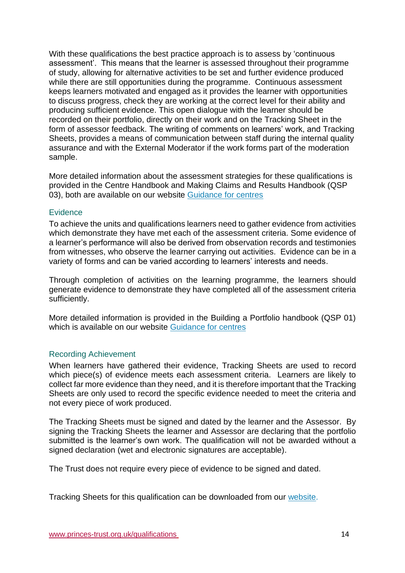With these qualifications the best practice approach is to assess by 'continuous assessment'. This means that the learner is assessed throughout their programme of study, allowing for alternative activities to be set and further evidence produced while there are still opportunities during the programme. Continuous assessment keeps learners motivated and engaged as it provides the learner with opportunities to discuss progress, check they are working at the correct level for their ability and producing sufficient evidence. This open dialogue with the learner should be recorded on their portfolio, directly on their work and on the Tracking Sheet in the form of assessor feedback. The writing of comments on learners' work, and Tracking Sheets, provides a means of communication between staff during the internal quality assurance and with the External Moderator if the work forms part of the moderation sample.

More detailed information about the assessment strategies for these qualifications is provided in the Centre Handbook and Making Claims and Results Handbook (QSP 03), both are available on our website [Guidance for centres](https://www.princes-trust.org.uk/about-the-trust/qualifications/guidance-for-centres) 

### <span id="page-13-0"></span>**Evidence**

To achieve the units and qualifications learners need to gather evidence from activities which demonstrate they have met each of the assessment criteria. Some evidence of a learner's performance will also be derived from observation records and testimonies from witnesses, who observe the learner carrying out activities. Evidence can be in a variety of forms and can be varied according to learners' interests and needs.

Through completion of activities on the learning programme, the learners should generate evidence to demonstrate they have completed all of the assessment criteria sufficiently.

More detailed information is provided in the Building a Portfolio handbook (QSP 01) which is available on our website [Guidance for centres](http://www.princes-trust.org.uk/about-the-trust/qualifications/guidance-for-centres)

### <span id="page-13-1"></span>Recording Achievement

When learners have gathered their evidence, Tracking Sheets are used to record which piece(s) of evidence meets each assessment criteria. Learners are likely to collect far more evidence than they need, and it is therefore important that the Tracking Sheets are only used to record the specific evidence needed to meet the criteria and not every piece of work produced.

The Tracking Sheets must be signed and dated by the learner and the Assessor. By signing the Tracking Sheets the learner and Assessor are declaring that the portfolio submitted is the learner's own work. The qualification will not be awarded without a signed declaration (wet and electronic signatures are acceptable).

The Trust does not require every piece of evidence to be signed and dated.

Tracking Sheets for this qualification can be downloaded from our [website.](https://www.princes-trust.org.uk/about-the-trust/qualifications/personal-development-employability)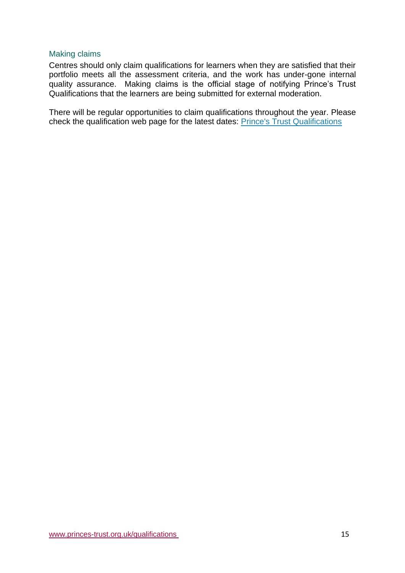### <span id="page-14-0"></span>Making claims

Centres should only claim qualifications for learners when they are satisfied that their portfolio meets all the assessment criteria, and the work has under-gone internal quality assurance. Making claims is the official stage of notifying Prince's Trust Qualifications that the learners are being submitted for external moderation.

There will be regular opportunities to claim qualifications throughout the year. Please check the qualification web page for the latest dates: [Prince's Trust Qualifications](https://www.princes-trust.org.uk/about-the-trust/qualifications/personal-development-employability)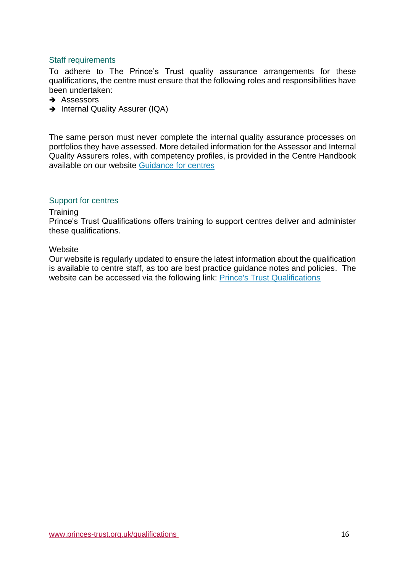## <span id="page-15-0"></span>Staff requirements

To adhere to The Prince's Trust quality assurance arrangements for these qualifications, the centre must ensure that the following roles and responsibilities have been undertaken:

- **→** Assessors
- → Internal Quality Assurer (IQA)

The same person must never complete the internal quality assurance processes on portfolios they have assessed. More detailed information for the Assessor and Internal Quality Assurers roles, with competency profiles, is provided in the Centre Handbook available on our website [Guidance for centres](https://www.princes-trust.org.uk/about-the-trust/qualifications/guidance-for-centres)

### <span id="page-15-1"></span>Support for centres

### **Training**

Prince's Trust Qualifications offers training to support centres deliver and administer these qualifications.

### **Website**

Our website is regularly updated to ensure the latest information about the qualification is available to centre staff, as too are best practice guidance notes and policies. The website can be accessed via the following link: [Prince's Trust Qualifications](https://www.princes-trust.org.uk/about-the-trust/qualifications/personal-development-employability)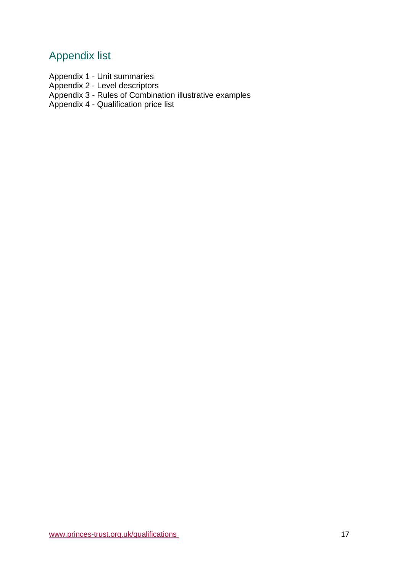# Appendix list

Appendix 1 - Unit summaries

Appendix 2 - Level descriptors

Appendix 3 - Rules of Combination illustrative examples

Appendix 4 - Qualification price list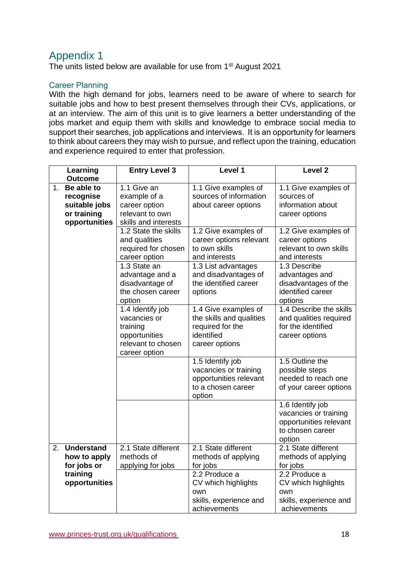<span id="page-17-0"></span>The units listed below are available for use from 1st August 2021

## Career Planning

With the high demand for jobs, learners need to be aware of where to search for suitable jobs and how to best present themselves through their CVs, applications, or at an interview. The aim of this unit is to give learners a better understanding of the jobs market and equip them with skills and knowledge to embrace social media to support their searches, job applications and interviews.  It is an opportunity for learners to think about careers they may wish to pursue, and reflect upon the training, education and experience required to enter that profession.

|                | Learning                                                                 | <b>Entry Level 3</b>                                                                                 | Level 1                                                                                              | Level <sub>2</sub>                                                                                |
|----------------|--------------------------------------------------------------------------|------------------------------------------------------------------------------------------------------|------------------------------------------------------------------------------------------------------|---------------------------------------------------------------------------------------------------|
|                | <b>Outcome</b>                                                           |                                                                                                      |                                                                                                      |                                                                                                   |
| 1 <sub>1</sub> | Be able to<br>recognise<br>suitable jobs<br>or training<br>opportunities | 1.1 Give an<br>example of a<br>career option<br>relevant to own<br>skills and interests              | 1.1 Give examples of<br>sources of information<br>about career options                               | 1.1 Give examples of<br>sources of<br>information about<br>career options                         |
|                |                                                                          | 1.2 State the skills<br>and qualities<br>required for chosen<br>career option                        | 1.2 Give examples of<br>career options relevant<br>to own skills<br>and interests                    | 1.2 Give examples of<br>career options<br>relevant to own skills<br>and interests                 |
|                |                                                                          | 1.3 State an<br>advantage and a<br>disadvantage of<br>the chosen career<br>option                    | 1.3 List advantages<br>and disadvantages of<br>the identified career<br>options                      | 1.3 Describe<br>advantages and<br>disadvantages of the<br>identified career<br>options            |
|                |                                                                          | 1.4 Identify job<br>vacancies or<br>training<br>opportunities<br>relevant to chosen<br>career option | 1.4 Give examples of<br>the skills and qualities<br>required for the<br>identified<br>career options | 1.4 Describe the skills<br>and qualities required<br>for the identified<br>career options         |
|                |                                                                          |                                                                                                      | 1.5 Identify job<br>vacancies or training<br>opportunities relevant<br>to a chosen career<br>option  | 1.5 Outline the<br>possible steps<br>needed to reach one<br>of your career options                |
|                |                                                                          |                                                                                                      |                                                                                                      | 1.6 Identify job<br>vacancies or training<br>opportunities relevant<br>to chosen career<br>option |
| 2.             | <b>Understand</b><br>how to apply<br>for jobs or                         | 2.1 State different<br>methods of<br>applying for jobs                                               | 2.1 State different<br>methods of applying<br>for jobs                                               | 2.1 State different<br>methods of applying<br>for jobs                                            |
|                | training<br>opportunities                                                |                                                                                                      | 2.2 Produce a<br>CV which highlights<br>own<br>skills, experience and<br>achievements                | 2.2 Produce a<br>CV which highlights<br>own<br>skills, experience and<br>achievements             |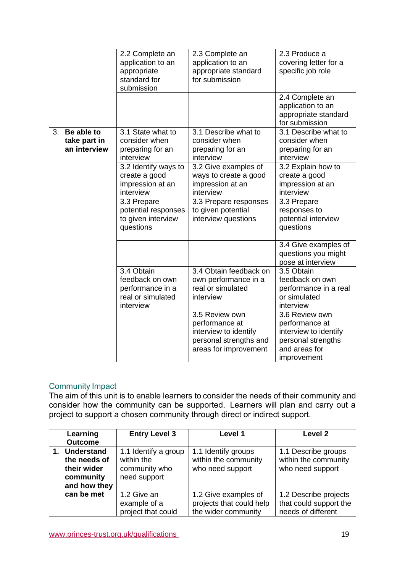|    |                                            | 2.2 Complete an<br>application to an<br>appropriate<br>standard for<br>submission   | 2.3 Complete an<br>application to an<br>appropriate standard<br>for submission                               | 2.3 Produce a<br>covering letter for a<br>specific job role                                                     |
|----|--------------------------------------------|-------------------------------------------------------------------------------------|--------------------------------------------------------------------------------------------------------------|-----------------------------------------------------------------------------------------------------------------|
|    |                                            |                                                                                     |                                                                                                              | 2.4 Complete an<br>application to an<br>appropriate standard<br>for submission                                  |
| 3. | Be able to<br>take part in<br>an interview | 3.1 State what to<br>consider when<br>preparing for an<br>interview                 | 3.1 Describe what to<br>consider when<br>preparing for an<br>interview                                       | 3.1 Describe what to<br>consider when<br>preparing for an<br>interview                                          |
|    |                                            | 3.2 Identify ways to<br>create a good<br>impression at an<br>interview              | 3.2 Give examples of<br>ways to create a good<br>impression at an<br>interview                               | 3.2 Explain how to<br>create a good<br>impression at an<br>interview                                            |
|    |                                            | 3.3 Prepare<br>potential responses<br>to given interview<br>questions               | 3.3 Prepare responses<br>to given potential<br>interview questions                                           | 3.3 Prepare<br>responses to<br>potential interview<br>questions                                                 |
|    |                                            |                                                                                     |                                                                                                              | 3.4 Give examples of<br>questions you might<br>pose at interview                                                |
|    |                                            | 3.4 Obtain<br>feedback on own<br>performance in a<br>real or simulated<br>interview | 3.4 Obtain feedback on<br>own performance in a<br>real or simulated<br>interview                             | 3.5 Obtain<br>feedback on own<br>performance in a real<br>or simulated<br>interview                             |
|    |                                            |                                                                                     | 3.5 Review own<br>performance at<br>interview to identify<br>personal strengths and<br>areas for improvement | 3.6 Review own<br>performance at<br>interview to identify<br>personal strengths<br>and areas for<br>improvement |

## Community Impact

The aim of this unit is to enable learners to consider the needs of their community and consider how the community can be supported.  Learners will plan and carry out a project to support a chosen community through direct or indirect support. 

| Learning<br><b>Outcome</b>                                                | <b>Entry Level 3</b>                                                | Level 1                                                                 | Level 2                                                               |
|---------------------------------------------------------------------------|---------------------------------------------------------------------|-------------------------------------------------------------------------|-----------------------------------------------------------------------|
| 1. Understand<br>the needs of<br>their wider<br>community<br>and how they | 1.1 Identify a group<br>within the<br>community who<br>need support | 1.1 Identify groups<br>within the community<br>who need support         | 1.1 Describe groups<br>within the community<br>who need support       |
| can be met                                                                | 1.2 Give an<br>example of a<br>project that could                   | 1.2 Give examples of<br>projects that could help<br>the wider community | 1.2 Describe projects<br>that could support the<br>needs of different |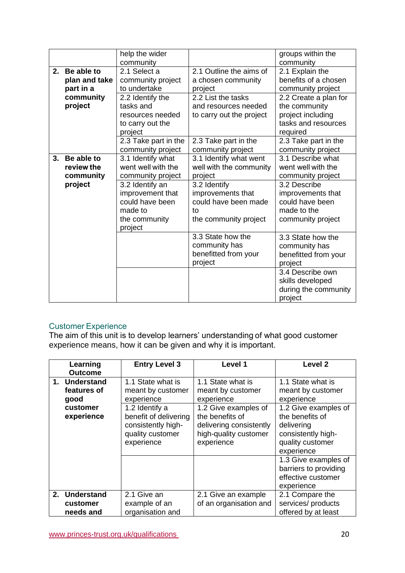|    |                                          | help the wider<br>community                                                                   |                                                                                          | groups within the<br>community                                                                 |
|----|------------------------------------------|-----------------------------------------------------------------------------------------------|------------------------------------------------------------------------------------------|------------------------------------------------------------------------------------------------|
| 2. | Be able to<br>plan and take<br>part in a | 2.1 Select a<br>community project<br>to undertake                                             | 2.1 Outline the aims of<br>a chosen community<br>project                                 | 2.1 Explain the<br>benefits of a chosen<br>community project                                   |
|    | community<br>project                     | 2.2 Identify the<br>tasks and<br>resources needed<br>to carry out the<br>project              | 2.2 List the tasks<br>and resources needed<br>to carry out the project                   | 2.2 Create a plan for<br>the community<br>project including<br>tasks and resources<br>required |
|    |                                          | 2.3 Take part in the<br>community project                                                     | 2.3 Take part in the<br>community project                                                | 2.3 Take part in the<br>community project                                                      |
| 3. | Be able to<br>review the<br>community    | 3.1 Identify what<br>went well with the<br>community project                                  | 3.1 Identify what went<br>well with the community<br>project                             | 3.1 Describe what<br>went well with the<br>community project                                   |
|    | project                                  | 3.2 Identify an<br>improvement that<br>could have been<br>made to<br>the community<br>project | 3.2 Identify<br>improvements that<br>could have been made<br>to<br>the community project | 3.2 Describe<br>improvements that<br>could have been<br>made to the<br>community project       |
|    |                                          |                                                                                               | 3.3 State how the<br>community has<br>benefitted from your<br>project                    | 3.3 State how the<br>community has<br>benefitted from your<br>project                          |
|    |                                          |                                                                                               |                                                                                          | 3.4 Describe own<br>skills developed<br>during the community<br>project                        |

# Customer Experience

The aim of this unit is to develop learners' understanding of what good customer experience means, how it can be given and why it is important.  

| Learning       | <b>Entry Level 3</b>  | Level 1                 | Level <sub>2</sub>    |
|----------------|-----------------------|-------------------------|-----------------------|
| <b>Outcome</b> |                       |                         |                       |
| 1. Understand  | 1.1 State what is     | 1.1 State what is       | 1.1 State what is     |
| features of    | meant by customer     | meant by customer       | meant by customer     |
| good           | experience            | experience              | experience            |
| customer       | 1.2 Identify a        | 1.2 Give examples of    | 1.2 Give examples of  |
| experience     | benefit of delivering | the benefits of         | the benefits of       |
|                | consistently high-    | delivering consistently | delivering            |
|                | quality customer      | high-quality customer   | consistently high-    |
|                | experience            | experience              | quality customer      |
|                |                       |                         | experience            |
|                |                       |                         | 1.3 Give examples of  |
|                |                       |                         | barriers to providing |
|                |                       |                         | effective customer    |
|                |                       |                         | experience            |
| 2. Understand  | 2.1 Give an           | 2.1 Give an example     | 2.1 Compare the       |
| customer       | example of an         | of an organisation and  | services/ products    |
| needs and      | organisation and      |                         | offered by at least   |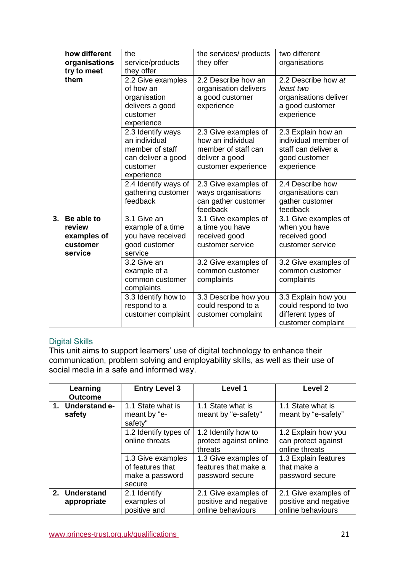|    | how different<br>organisations<br>try to meet              | the<br>service/products<br>they offer                                                                 | the services/ products<br>they offer                                                                      | two different<br>organisations                                                                   |
|----|------------------------------------------------------------|-------------------------------------------------------------------------------------------------------|-----------------------------------------------------------------------------------------------------------|--------------------------------------------------------------------------------------------------|
|    | them                                                       | 2.2 Give examples<br>of how an<br>organisation<br>delivers a good<br>customer<br>experience           | 2.2 Describe how an<br>organisation delivers<br>a good customer<br>experience                             | 2.2 Describe how at<br>least two<br>organisations deliver<br>a good customer<br>experience       |
|    |                                                            | 2.3 Identify ways<br>an individual<br>member of staff<br>can deliver a good<br>customer<br>experience | 2.3 Give examples of<br>how an individual<br>member of staff can<br>deliver a good<br>customer experience | 2.3 Explain how an<br>individual member of<br>staff can deliver a<br>good customer<br>experience |
|    |                                                            | 2.4 Identify ways of<br>gathering customer<br>feedback                                                | 2.3 Give examples of<br>ways organisations<br>can gather customer<br>feedback                             | 2.4 Describe how<br>organisations can<br>gather customer<br>feedback                             |
| 3. | Be able to<br>review<br>examples of<br>customer<br>service | 3.1 Give an<br>example of a time<br>you have received<br>good customer<br>service                     | 3.1 Give examples of<br>a time you have<br>received good<br>customer service                              | 3.1 Give examples of<br>when you have<br>received good<br>customer service                       |
|    |                                                            | 3.2 Give an<br>example of a<br>common customer<br>complaints                                          | 3.2 Give examples of<br>common customer<br>complaints                                                     | 3.2 Give examples of<br>common customer<br>complaints                                            |
|    |                                                            | 3.3 Identify how to<br>respond to a<br>customer complaint                                             | 3.3 Describe how you<br>could respond to a<br>customer complaint                                          | 3.3 Explain how you<br>could respond to two<br>different types of<br>customer complaint          |

## Digital Skills

This unit aims to support learners' use of digital technology to enhance their communication, problem solving and employability skills, as well as their use of social media in a safe and informed way. 

| Learning<br><b>Outcome</b>   | <b>Entry Level 3</b>                                               | Level 1                                                            | <b>Level 2</b>                                                     |
|------------------------------|--------------------------------------------------------------------|--------------------------------------------------------------------|--------------------------------------------------------------------|
| 1. Understand e-<br>safety   | 1.1 State what is<br>meant by "e-<br>safety"                       | 1.1 State what is<br>meant by "e-safety"                           | 1.1 State what is<br>meant by "e-safety"                           |
|                              | 1.2 Identify types of<br>online threats                            | 1.2 Identify how to<br>protect against online<br>threats           | 1.2 Explain how you<br>can protect against<br>online threats       |
|                              | 1.3 Give examples<br>of features that<br>make a password<br>secure | 1.3 Give examples of<br>features that make a<br>password secure    | 1.3 Explain features<br>that make a<br>password secure             |
| 2. Understand<br>appropriate | 2.1 Identify<br>examples of<br>positive and                        | 2.1 Give examples of<br>positive and negative<br>online behaviours | 2.1 Give examples of<br>positive and negative<br>online behaviours |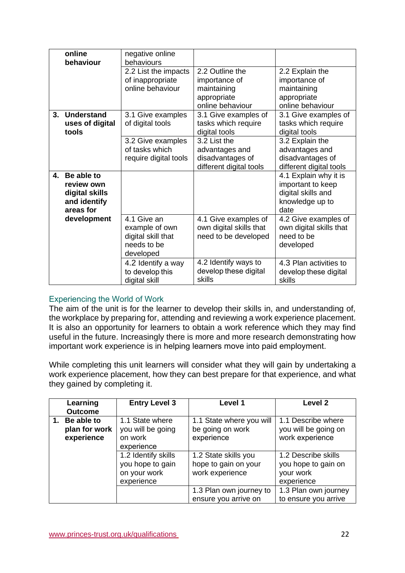|    | online<br>behaviour                                                     | negative online<br>behaviours                                                   |                                                                                    |                                                                                             |
|----|-------------------------------------------------------------------------|---------------------------------------------------------------------------------|------------------------------------------------------------------------------------|---------------------------------------------------------------------------------------------|
|    |                                                                         | 2.2 List the impacts<br>of inappropriate<br>online behaviour                    | 2.2 Outline the<br>importance of<br>maintaining<br>appropriate<br>online behaviour | 2.2 Explain the<br>importance of<br>maintaining<br>appropriate<br>online behaviour          |
| 3. | Understand<br>uses of digital<br>tools                                  | 3.1 Give examples<br>of digital tools                                           | 3.1 Give examples of<br>tasks which require<br>digital tools                       | 3.1 Give examples of<br>tasks which require<br>digital tools                                |
|    |                                                                         | 3.2 Give examples<br>of tasks which<br>require digital tools                    | 3.2 List the<br>advantages and<br>disadvantages of<br>different digital tools      | 3.2 Explain the<br>advantages and<br>disadvantages of<br>different digital tools            |
| 4. | Be able to<br>review own<br>digital skills<br>and identify<br>areas for |                                                                                 |                                                                                    | 4.1 Explain why it is<br>important to keep<br>digital skills and<br>knowledge up to<br>date |
|    | development                                                             | 4.1 Give an<br>example of own<br>digital skill that<br>needs to be<br>developed | 4.1 Give examples of<br>own digital skills that<br>need to be developed            | 4.2 Give examples of<br>own digital skills that<br>need to be<br>developed                  |
|    |                                                                         | 4.2 Identify a way<br>to develop this<br>digital skill                          | 4.2 Identify ways to<br>develop these digital<br>skills                            | 4.3 Plan activities to<br>develop these digital<br>skills                                   |

### Experiencing the World of Work

The aim of the unit is for the learner to develop their skills in, and understanding of, the workplace by preparing for, attending and reviewing a work experience placement. It is also an opportunity for learners to obtain a work reference which they may find useful in the future. Increasingly there is more and more research demonstrating how important work experience is in helping learners move into paid employment.   

While completing this unit learners will consider what they will gain by undertaking a work experience placement, how they can best prepare for that experience, and what they gained by completing it.

| Learning       | <b>Entry Level 3</b> | Level 1                  | Level <sub>2</sub>   |
|----------------|----------------------|--------------------------|----------------------|
| <b>Outcome</b> |                      |                          |                      |
| 1. Be able to  | 1.1 State where      | 1.1 State where you will | 1.1 Describe where   |
| plan for work  | you will be going    | be going on work         | you will be going on |
| experience     | on work              | experience               | work experience      |
|                | experience           |                          |                      |
|                | 1.2 Identify skills  | 1.2 State skills you     | 1.2 Describe skills  |
|                | you hope to gain     | hope to gain on your     | you hope to gain on  |
|                | on your work         | work experience          | your work            |
|                | experience           |                          | experience           |
|                |                      | 1.3 Plan own journey to  | 1.3 Plan own journey |
|                |                      | ensure you arrive on     | to ensure you arrive |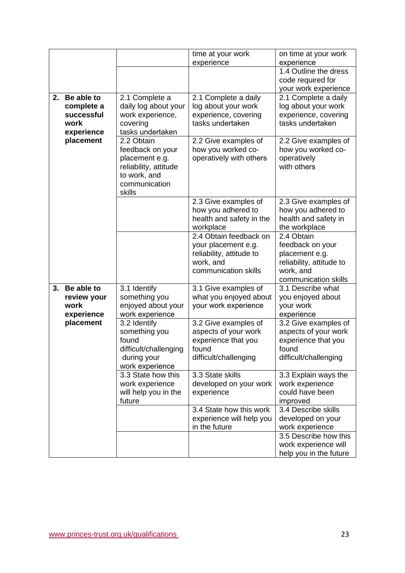| time at your work<br>on time at your work<br>experience<br>experience<br>1.4 Outline the dress<br>code required for<br>your work experience<br>Be able to<br>2.1 Complete a daily<br>2.<br>2.1 Complete a<br>2.1 Complete a daily<br>daily log about your<br>log about your work<br>complete a<br>log about your work<br>successful<br>work experience,<br>experience, covering<br>experience, covering<br>tasks undertaken<br>tasks undertaken<br>work<br>covering<br>tasks undertaken<br>experience<br>placement<br>2.2 Obtain<br>2.2 Give examples of<br>2.2 Give examples of<br>feedback on your<br>how you worked co-<br>how you worked co-<br>operatively with others<br>operatively<br>placement e.g.<br>with others<br>reliability, attitude<br>to work, and<br>communication<br>skills<br>2.3 Give examples of<br>2.3 Give examples of<br>how you adhered to<br>how you adhered to<br>health and safety in the<br>health and safety in<br>workplace<br>the workplace<br>2.4 Obtain feedback on<br>2.4 Obtain<br>feedback on your<br>your placement e.g.<br>reliability, attitude to<br>placement e.g.<br>work, and<br>reliability, attitude to<br>communication skills<br>work, and<br>communication skills<br>Be able to<br>3.1 Identify<br>3.1 Describe what<br>3.<br>3.1 Give examples of<br>something you<br>what you enjoyed about<br>review your<br>you enjoyed about<br>enjoyed about your<br>your work experience<br>work<br>your work<br>work experience<br>experience<br>experience<br>placement<br>3.2 Identify<br>3.2 Give examples of<br>3.2 Give examples of<br>something you<br>aspects of your work<br>aspects of your work<br>experience that you<br>experience that you<br>found<br>difficult/challenging<br>found<br>found<br>difficult/challenging<br>difficult/challenging<br>during your<br>work experience<br>$3.3$ State how this<br>3.3 State skills<br>3.3 Explain ways the<br>developed on your work<br>work experience<br>work experience<br>could have been<br>will help you in the<br>experience<br>improved<br>future<br>3.4 State how this work<br>3.4 Describe skills<br>experience will help you<br>developed on your<br>in the future<br>work experience<br>3.5 Describe how this<br>work experience will |  |  |                        |
|-------------------------------------------------------------------------------------------------------------------------------------------------------------------------------------------------------------------------------------------------------------------------------------------------------------------------------------------------------------------------------------------------------------------------------------------------------------------------------------------------------------------------------------------------------------------------------------------------------------------------------------------------------------------------------------------------------------------------------------------------------------------------------------------------------------------------------------------------------------------------------------------------------------------------------------------------------------------------------------------------------------------------------------------------------------------------------------------------------------------------------------------------------------------------------------------------------------------------------------------------------------------------------------------------------------------------------------------------------------------------------------------------------------------------------------------------------------------------------------------------------------------------------------------------------------------------------------------------------------------------------------------------------------------------------------------------------------------------------------------------------------------------------------------------------------------------------------------------------------------------------------------------------------------------------------------------------------------------------------------------------------------------------------------------------------------------------------------------------------------------------------------------------------------------------------------------------------------------------------------------------|--|--|------------------------|
|                                                                                                                                                                                                                                                                                                                                                                                                                                                                                                                                                                                                                                                                                                                                                                                                                                                                                                                                                                                                                                                                                                                                                                                                                                                                                                                                                                                                                                                                                                                                                                                                                                                                                                                                                                                                                                                                                                                                                                                                                                                                                                                                                                                                                                                       |  |  |                        |
|                                                                                                                                                                                                                                                                                                                                                                                                                                                                                                                                                                                                                                                                                                                                                                                                                                                                                                                                                                                                                                                                                                                                                                                                                                                                                                                                                                                                                                                                                                                                                                                                                                                                                                                                                                                                                                                                                                                                                                                                                                                                                                                                                                                                                                                       |  |  |                        |
|                                                                                                                                                                                                                                                                                                                                                                                                                                                                                                                                                                                                                                                                                                                                                                                                                                                                                                                                                                                                                                                                                                                                                                                                                                                                                                                                                                                                                                                                                                                                                                                                                                                                                                                                                                                                                                                                                                                                                                                                                                                                                                                                                                                                                                                       |  |  |                        |
|                                                                                                                                                                                                                                                                                                                                                                                                                                                                                                                                                                                                                                                                                                                                                                                                                                                                                                                                                                                                                                                                                                                                                                                                                                                                                                                                                                                                                                                                                                                                                                                                                                                                                                                                                                                                                                                                                                                                                                                                                                                                                                                                                                                                                                                       |  |  |                        |
|                                                                                                                                                                                                                                                                                                                                                                                                                                                                                                                                                                                                                                                                                                                                                                                                                                                                                                                                                                                                                                                                                                                                                                                                                                                                                                                                                                                                                                                                                                                                                                                                                                                                                                                                                                                                                                                                                                                                                                                                                                                                                                                                                                                                                                                       |  |  |                        |
|                                                                                                                                                                                                                                                                                                                                                                                                                                                                                                                                                                                                                                                                                                                                                                                                                                                                                                                                                                                                                                                                                                                                                                                                                                                                                                                                                                                                                                                                                                                                                                                                                                                                                                                                                                                                                                                                                                                                                                                                                                                                                                                                                                                                                                                       |  |  |                        |
|                                                                                                                                                                                                                                                                                                                                                                                                                                                                                                                                                                                                                                                                                                                                                                                                                                                                                                                                                                                                                                                                                                                                                                                                                                                                                                                                                                                                                                                                                                                                                                                                                                                                                                                                                                                                                                                                                                                                                                                                                                                                                                                                                                                                                                                       |  |  |                        |
|                                                                                                                                                                                                                                                                                                                                                                                                                                                                                                                                                                                                                                                                                                                                                                                                                                                                                                                                                                                                                                                                                                                                                                                                                                                                                                                                                                                                                                                                                                                                                                                                                                                                                                                                                                                                                                                                                                                                                                                                                                                                                                                                                                                                                                                       |  |  |                        |
|                                                                                                                                                                                                                                                                                                                                                                                                                                                                                                                                                                                                                                                                                                                                                                                                                                                                                                                                                                                                                                                                                                                                                                                                                                                                                                                                                                                                                                                                                                                                                                                                                                                                                                                                                                                                                                                                                                                                                                                                                                                                                                                                                                                                                                                       |  |  |                        |
|                                                                                                                                                                                                                                                                                                                                                                                                                                                                                                                                                                                                                                                                                                                                                                                                                                                                                                                                                                                                                                                                                                                                                                                                                                                                                                                                                                                                                                                                                                                                                                                                                                                                                                                                                                                                                                                                                                                                                                                                                                                                                                                                                                                                                                                       |  |  |                        |
|                                                                                                                                                                                                                                                                                                                                                                                                                                                                                                                                                                                                                                                                                                                                                                                                                                                                                                                                                                                                                                                                                                                                                                                                                                                                                                                                                                                                                                                                                                                                                                                                                                                                                                                                                                                                                                                                                                                                                                                                                                                                                                                                                                                                                                                       |  |  |                        |
|                                                                                                                                                                                                                                                                                                                                                                                                                                                                                                                                                                                                                                                                                                                                                                                                                                                                                                                                                                                                                                                                                                                                                                                                                                                                                                                                                                                                                                                                                                                                                                                                                                                                                                                                                                                                                                                                                                                                                                                                                                                                                                                                                                                                                                                       |  |  |                        |
|                                                                                                                                                                                                                                                                                                                                                                                                                                                                                                                                                                                                                                                                                                                                                                                                                                                                                                                                                                                                                                                                                                                                                                                                                                                                                                                                                                                                                                                                                                                                                                                                                                                                                                                                                                                                                                                                                                                                                                                                                                                                                                                                                                                                                                                       |  |  |                        |
|                                                                                                                                                                                                                                                                                                                                                                                                                                                                                                                                                                                                                                                                                                                                                                                                                                                                                                                                                                                                                                                                                                                                                                                                                                                                                                                                                                                                                                                                                                                                                                                                                                                                                                                                                                                                                                                                                                                                                                                                                                                                                                                                                                                                                                                       |  |  |                        |
|                                                                                                                                                                                                                                                                                                                                                                                                                                                                                                                                                                                                                                                                                                                                                                                                                                                                                                                                                                                                                                                                                                                                                                                                                                                                                                                                                                                                                                                                                                                                                                                                                                                                                                                                                                                                                                                                                                                                                                                                                                                                                                                                                                                                                                                       |  |  |                        |
|                                                                                                                                                                                                                                                                                                                                                                                                                                                                                                                                                                                                                                                                                                                                                                                                                                                                                                                                                                                                                                                                                                                                                                                                                                                                                                                                                                                                                                                                                                                                                                                                                                                                                                                                                                                                                                                                                                                                                                                                                                                                                                                                                                                                                                                       |  |  |                        |
|                                                                                                                                                                                                                                                                                                                                                                                                                                                                                                                                                                                                                                                                                                                                                                                                                                                                                                                                                                                                                                                                                                                                                                                                                                                                                                                                                                                                                                                                                                                                                                                                                                                                                                                                                                                                                                                                                                                                                                                                                                                                                                                                                                                                                                                       |  |  |                        |
|                                                                                                                                                                                                                                                                                                                                                                                                                                                                                                                                                                                                                                                                                                                                                                                                                                                                                                                                                                                                                                                                                                                                                                                                                                                                                                                                                                                                                                                                                                                                                                                                                                                                                                                                                                                                                                                                                                                                                                                                                                                                                                                                                                                                                                                       |  |  |                        |
|                                                                                                                                                                                                                                                                                                                                                                                                                                                                                                                                                                                                                                                                                                                                                                                                                                                                                                                                                                                                                                                                                                                                                                                                                                                                                                                                                                                                                                                                                                                                                                                                                                                                                                                                                                                                                                                                                                                                                                                                                                                                                                                                                                                                                                                       |  |  |                        |
|                                                                                                                                                                                                                                                                                                                                                                                                                                                                                                                                                                                                                                                                                                                                                                                                                                                                                                                                                                                                                                                                                                                                                                                                                                                                                                                                                                                                                                                                                                                                                                                                                                                                                                                                                                                                                                                                                                                                                                                                                                                                                                                                                                                                                                                       |  |  |                        |
|                                                                                                                                                                                                                                                                                                                                                                                                                                                                                                                                                                                                                                                                                                                                                                                                                                                                                                                                                                                                                                                                                                                                                                                                                                                                                                                                                                                                                                                                                                                                                                                                                                                                                                                                                                                                                                                                                                                                                                                                                                                                                                                                                                                                                                                       |  |  |                        |
|                                                                                                                                                                                                                                                                                                                                                                                                                                                                                                                                                                                                                                                                                                                                                                                                                                                                                                                                                                                                                                                                                                                                                                                                                                                                                                                                                                                                                                                                                                                                                                                                                                                                                                                                                                                                                                                                                                                                                                                                                                                                                                                                                                                                                                                       |  |  |                        |
|                                                                                                                                                                                                                                                                                                                                                                                                                                                                                                                                                                                                                                                                                                                                                                                                                                                                                                                                                                                                                                                                                                                                                                                                                                                                                                                                                                                                                                                                                                                                                                                                                                                                                                                                                                                                                                                                                                                                                                                                                                                                                                                                                                                                                                                       |  |  |                        |
|                                                                                                                                                                                                                                                                                                                                                                                                                                                                                                                                                                                                                                                                                                                                                                                                                                                                                                                                                                                                                                                                                                                                                                                                                                                                                                                                                                                                                                                                                                                                                                                                                                                                                                                                                                                                                                                                                                                                                                                                                                                                                                                                                                                                                                                       |  |  |                        |
|                                                                                                                                                                                                                                                                                                                                                                                                                                                                                                                                                                                                                                                                                                                                                                                                                                                                                                                                                                                                                                                                                                                                                                                                                                                                                                                                                                                                                                                                                                                                                                                                                                                                                                                                                                                                                                                                                                                                                                                                                                                                                                                                                                                                                                                       |  |  |                        |
|                                                                                                                                                                                                                                                                                                                                                                                                                                                                                                                                                                                                                                                                                                                                                                                                                                                                                                                                                                                                                                                                                                                                                                                                                                                                                                                                                                                                                                                                                                                                                                                                                                                                                                                                                                                                                                                                                                                                                                                                                                                                                                                                                                                                                                                       |  |  |                        |
|                                                                                                                                                                                                                                                                                                                                                                                                                                                                                                                                                                                                                                                                                                                                                                                                                                                                                                                                                                                                                                                                                                                                                                                                                                                                                                                                                                                                                                                                                                                                                                                                                                                                                                                                                                                                                                                                                                                                                                                                                                                                                                                                                                                                                                                       |  |  |                        |
|                                                                                                                                                                                                                                                                                                                                                                                                                                                                                                                                                                                                                                                                                                                                                                                                                                                                                                                                                                                                                                                                                                                                                                                                                                                                                                                                                                                                                                                                                                                                                                                                                                                                                                                                                                                                                                                                                                                                                                                                                                                                                                                                                                                                                                                       |  |  |                        |
|                                                                                                                                                                                                                                                                                                                                                                                                                                                                                                                                                                                                                                                                                                                                                                                                                                                                                                                                                                                                                                                                                                                                                                                                                                                                                                                                                                                                                                                                                                                                                                                                                                                                                                                                                                                                                                                                                                                                                                                                                                                                                                                                                                                                                                                       |  |  |                        |
|                                                                                                                                                                                                                                                                                                                                                                                                                                                                                                                                                                                                                                                                                                                                                                                                                                                                                                                                                                                                                                                                                                                                                                                                                                                                                                                                                                                                                                                                                                                                                                                                                                                                                                                                                                                                                                                                                                                                                                                                                                                                                                                                                                                                                                                       |  |  |                        |
|                                                                                                                                                                                                                                                                                                                                                                                                                                                                                                                                                                                                                                                                                                                                                                                                                                                                                                                                                                                                                                                                                                                                                                                                                                                                                                                                                                                                                                                                                                                                                                                                                                                                                                                                                                                                                                                                                                                                                                                                                                                                                                                                                                                                                                                       |  |  |                        |
|                                                                                                                                                                                                                                                                                                                                                                                                                                                                                                                                                                                                                                                                                                                                                                                                                                                                                                                                                                                                                                                                                                                                                                                                                                                                                                                                                                                                                                                                                                                                                                                                                                                                                                                                                                                                                                                                                                                                                                                                                                                                                                                                                                                                                                                       |  |  |                        |
|                                                                                                                                                                                                                                                                                                                                                                                                                                                                                                                                                                                                                                                                                                                                                                                                                                                                                                                                                                                                                                                                                                                                                                                                                                                                                                                                                                                                                                                                                                                                                                                                                                                                                                                                                                                                                                                                                                                                                                                                                                                                                                                                                                                                                                                       |  |  |                        |
|                                                                                                                                                                                                                                                                                                                                                                                                                                                                                                                                                                                                                                                                                                                                                                                                                                                                                                                                                                                                                                                                                                                                                                                                                                                                                                                                                                                                                                                                                                                                                                                                                                                                                                                                                                                                                                                                                                                                                                                                                                                                                                                                                                                                                                                       |  |  |                        |
|                                                                                                                                                                                                                                                                                                                                                                                                                                                                                                                                                                                                                                                                                                                                                                                                                                                                                                                                                                                                                                                                                                                                                                                                                                                                                                                                                                                                                                                                                                                                                                                                                                                                                                                                                                                                                                                                                                                                                                                                                                                                                                                                                                                                                                                       |  |  |                        |
|                                                                                                                                                                                                                                                                                                                                                                                                                                                                                                                                                                                                                                                                                                                                                                                                                                                                                                                                                                                                                                                                                                                                                                                                                                                                                                                                                                                                                                                                                                                                                                                                                                                                                                                                                                                                                                                                                                                                                                                                                                                                                                                                                                                                                                                       |  |  |                        |
|                                                                                                                                                                                                                                                                                                                                                                                                                                                                                                                                                                                                                                                                                                                                                                                                                                                                                                                                                                                                                                                                                                                                                                                                                                                                                                                                                                                                                                                                                                                                                                                                                                                                                                                                                                                                                                                                                                                                                                                                                                                                                                                                                                                                                                                       |  |  |                        |
|                                                                                                                                                                                                                                                                                                                                                                                                                                                                                                                                                                                                                                                                                                                                                                                                                                                                                                                                                                                                                                                                                                                                                                                                                                                                                                                                                                                                                                                                                                                                                                                                                                                                                                                                                                                                                                                                                                                                                                                                                                                                                                                                                                                                                                                       |  |  |                        |
|                                                                                                                                                                                                                                                                                                                                                                                                                                                                                                                                                                                                                                                                                                                                                                                                                                                                                                                                                                                                                                                                                                                                                                                                                                                                                                                                                                                                                                                                                                                                                                                                                                                                                                                                                                                                                                                                                                                                                                                                                                                                                                                                                                                                                                                       |  |  |                        |
|                                                                                                                                                                                                                                                                                                                                                                                                                                                                                                                                                                                                                                                                                                                                                                                                                                                                                                                                                                                                                                                                                                                                                                                                                                                                                                                                                                                                                                                                                                                                                                                                                                                                                                                                                                                                                                                                                                                                                                                                                                                                                                                                                                                                                                                       |  |  | help you in the future |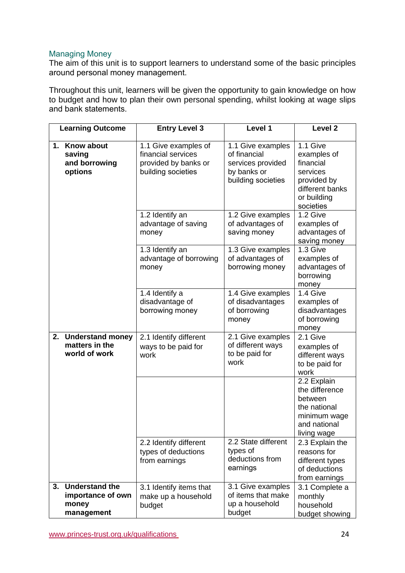## Managing Money

The aim of this unit is to support learners to understand some of the basic principles around personal money management. 

Throughout this unit, learners will be given the opportunity to gain knowledge on how to budget and how to plan their own personal spending, whilst looking at wage slips and bank statements.   

|    | <b>Learning Outcome</b>                                       | <b>Entry Level 3</b>                                                                     | Level 1                                                                                     | Level <sub>2</sub>                                                                                             |
|----|---------------------------------------------------------------|------------------------------------------------------------------------------------------|---------------------------------------------------------------------------------------------|----------------------------------------------------------------------------------------------------------------|
|    | 1. Know about<br>saving<br>and borrowing<br>options           | 1.1 Give examples of<br>financial services<br>provided by banks or<br>building societies | 1.1 Give examples<br>of financial<br>services provided<br>by banks or<br>building societies | 1.1 Give<br>examples of<br>financial<br>services<br>provided by<br>different banks<br>or building<br>societies |
|    |                                                               | 1.2 Identify an<br>advantage of saving<br>money                                          | 1.2 Give examples<br>of advantages of<br>saving money                                       | 1.2 Give<br>examples of<br>advantages of<br>saving money                                                       |
|    |                                                               | 1.3 Identify an<br>advantage of borrowing<br>money                                       | 1.3 Give examples<br>of advantages of<br>borrowing money                                    | 1.3 Give<br>examples of<br>advantages of<br>borrowing<br>money                                                 |
|    |                                                               | 1.4 Identify a<br>disadvantage of<br>borrowing money                                     | 1.4 Give examples<br>of disadvantages<br>of borrowing<br>money                              | 1.4 Give<br>examples of<br>disadvantages<br>of borrowing<br>money                                              |
| 2. | <b>Understand money</b><br>matters in the<br>world of work    | 2.1 Identify different<br>ways to be paid for<br>work                                    | 2.1 Give examples<br>of different ways<br>to be paid for<br>work                            | 2.1 Give<br>examples of<br>different ways<br>to be paid for<br>work                                            |
|    |                                                               |                                                                                          |                                                                                             | 2.2 Explain<br>the difference<br>between<br>the national<br>minimum wage<br>and national<br>living wage        |
|    |                                                               | 2.2 Identify different<br>types of deductions<br>from earnings                           | 2.2 State different<br>types of<br>deductions from<br>earnings                              | 2.3 Explain the<br>reasons for<br>different types<br>of deductions<br>from earnings                            |
|    | 3. Understand the<br>importance of own<br>money<br>management | 3.1 Identify items that<br>make up a household<br>budget                                 | 3.1 Give examples<br>of items that make<br>up a household<br>budget                         | 3.1 Complete a<br>monthly<br>household<br>budget showing                                                       |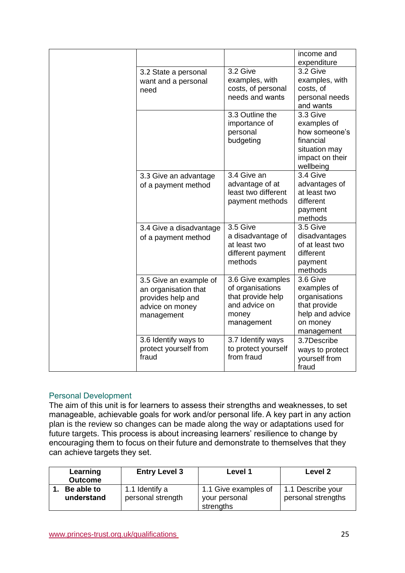|                         |                     | income and      |
|-------------------------|---------------------|-----------------|
|                         |                     | expenditure     |
| 3.2 State a personal    | 3.2 Give            | 3.2 Give        |
| want and a personal     | examples, with      | examples, with  |
| need                    | costs, of personal  | costs, of       |
|                         | needs and wants     | personal needs  |
|                         |                     | and wants       |
|                         | 3.3 Outline the     | 3.3 Give        |
|                         | importance of       | examples of     |
|                         | personal            | how someone's   |
|                         | budgeting           | financial       |
|                         |                     | situation may   |
|                         |                     | impact on their |
|                         |                     | wellbeing       |
| 3.3 Give an advantage   | 3.4 Give an         | 3.4 Give        |
| of a payment method     | advantage of at     | advantages of   |
|                         | least two different | at least two    |
|                         | payment methods     | different       |
|                         |                     | payment         |
|                         |                     | methods         |
| 3.4 Give a disadvantage | 3.5 Give            | 3.5 Give        |
| of a payment method     | a disadvantage of   | disadvantages   |
|                         | at least two        | of at least two |
|                         | different payment   | different       |
|                         | methods             | payment         |
|                         |                     | methods         |
| 3.5 Give an example of  | 3.6 Give examples   | 3.6 Give        |
| an organisation that    | of organisations    | examples of     |
| provides help and       | that provide help   | organisations   |
| advice on money         | and advice on       | that provide    |
| management              | money               | help and advice |
|                         | management          | on money        |
|                         |                     | management      |
| 3.6 Identify ways to    | 3.7 Identify ways   | 3.7Describe     |
| protect yourself from   | to protect yourself | ways to protect |
| fraud                   | from fraud          | yourself from   |
|                         |                     | fraud           |

### Personal Development

The aim of this unit is for learners to assess their strengths and weaknesses, to set manageable, achievable goals for work and/or personal life. A key part in any action plan is the review so changes can be made along the way or adaptations used for future targets. This process is about increasing learners' resilience to change by encouraging them to focus on their future and demonstrate to themselves that they can achieve targets they set. 

| Learning                 | <b>Entry Level 3</b>                | Level 1                                            | Level 2                                 |
|--------------------------|-------------------------------------|----------------------------------------------------|-----------------------------------------|
| <b>Outcome</b>           |                                     |                                                    |                                         |
| Be able to<br>understand | 1.1 Identify a<br>personal strength | 1.1 Give examples of<br>your personal<br>strengths | 1.1 Describe your<br>personal strengths |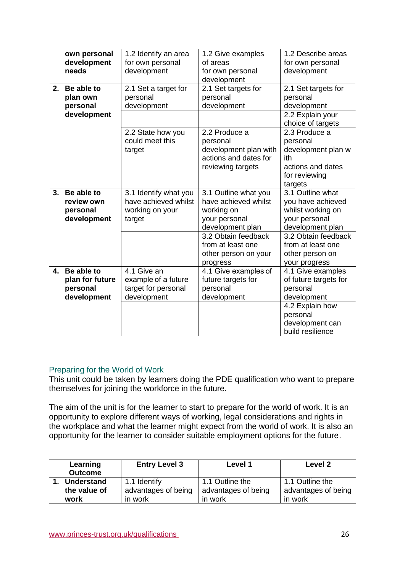|                | own personal<br>development<br>needs                     | 1.2 Identify an area<br>for own personal<br>development                    | 1.2 Give examples<br>of areas<br>for own personal<br>development                                                                                                                | 1.2 Describe areas<br>for own personal<br>development                                                                                                                           |
|----------------|----------------------------------------------------------|----------------------------------------------------------------------------|---------------------------------------------------------------------------------------------------------------------------------------------------------------------------------|---------------------------------------------------------------------------------------------------------------------------------------------------------------------------------|
| 2.             | Be able to<br>plan own<br>personal<br>development        | 2.1 Set a target for<br>personal<br>development                            | 2.1 Set targets for<br>personal<br>development                                                                                                                                  | 2.1 Set targets for<br>personal<br>development<br>2.2 Explain your<br>choice of targets                                                                                         |
|                |                                                          | 2.2 State how you<br>could meet this<br>target                             | 2.2 Produce a<br>personal<br>development plan with<br>actions and dates for<br>reviewing targets                                                                                | 2.3 Produce a<br>personal<br>development plan w<br>ith<br>actions and dates<br>for reviewing<br>targets                                                                         |
| 3 <sub>1</sub> | Be able to<br>review own<br>personal<br>development      | 3.1 Identify what you<br>have achieved whilst<br>working on your<br>target | 3.1 Outline what you<br>have achieved whilst<br>working on<br>your personal<br>development plan<br>3.2 Obtain feedback<br>from at least one<br>other person on your<br>progress | 3.1 Outline what<br>you have achieved<br>whilst working on<br>your personal<br>development plan<br>3.2 Obtain feedback<br>from at least one<br>other person on<br>your progress |
| 4.             | Be able to<br>plan for future<br>personal<br>development | 4.1 Give an<br>example of a future<br>target for personal<br>development   | 4.1 Give examples of<br>future targets for<br>personal<br>development                                                                                                           | 4.1 Give examples<br>of future targets for<br>personal<br>development<br>4.2 Explain how<br>personal<br>development can<br>build resilience                                     |

## Preparing for the World of Work

This unit could be taken by learners doing the PDE qualification who want to prepare themselves for joining the workforce in the future.

The aim of the unit is for the learner to start to prepare for the world of work. It is an opportunity to explore different ways of working, legal considerations and rights in the workplace and what the learner might expect from the world of work. It is also an opportunity for the learner to consider suitable employment options for the future.

| Learning<br><b>Outcome</b>        | <b>Entry Level 3</b>                | Level 1                                | Level 2                                |
|-----------------------------------|-------------------------------------|----------------------------------------|----------------------------------------|
| <b>Understand</b><br>the value of | 1.1 Identify<br>advantages of being | 1.1 Outline the<br>advantages of being | 1.1 Outline the<br>advantages of being |
| work                              | in work                             | in work                                | in work                                |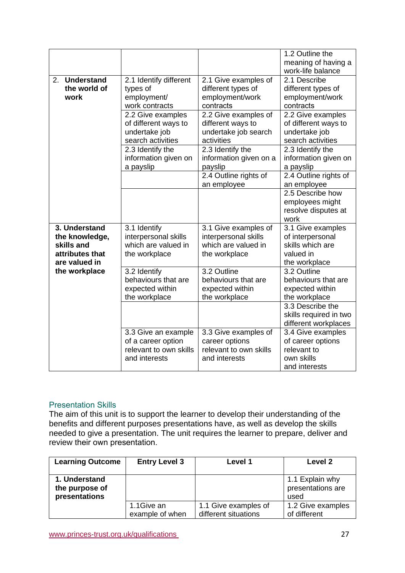|                                                                                   |                                                                                      |                                                                                      | 1.2 Outline the<br>meaning of having a<br>work-life balance                             |
|-----------------------------------------------------------------------------------|--------------------------------------------------------------------------------------|--------------------------------------------------------------------------------------|-----------------------------------------------------------------------------------------|
| 2. Understand<br>the world of<br>work                                             | 2.1 Identify different<br>types of<br>employment/<br>work contracts                  | 2.1 Give examples of<br>different types of<br>employment/work<br>contracts           | 2.1 Describe<br>different types of<br>employment/work<br>contracts                      |
|                                                                                   | 2.2 Give examples<br>of different ways to<br>undertake job<br>search activities      | 2.2 Give examples of<br>different ways to<br>undertake job search<br>activities      | 2.2 Give examples<br>of different ways to<br>undertake job<br>search activities         |
|                                                                                   | 2.3 Identify the<br>information given on<br>a payslip                                | 2.3 Identify the<br>information given on a<br>payslip                                | 2.3 Identify the<br>information given on<br>a payslip                                   |
|                                                                                   |                                                                                      | 2.4 Outline rights of<br>an employee                                                 | 2.4 Outline rights of<br>an employee                                                    |
|                                                                                   |                                                                                      |                                                                                      | 2.5 Describe how<br>employees might<br>resolve disputes at<br>work                      |
| 3. Understand<br>the knowledge,<br>skills and<br>attributes that<br>are valued in | 3.1 Identify<br>interpersonal skills<br>which are valued in<br>the workplace         | 3.1 Give examples of<br>interpersonal skills<br>which are valued in<br>the workplace | 3.1 Give examples<br>of interpersonal<br>skills which are<br>valued in<br>the workplace |
| the workplace                                                                     | 3.2 Identify<br>behaviours that are<br>expected within<br>the workplace              | 3.2 Outline<br>behaviours that are<br>expected within<br>the workplace               | 3.2 Outline<br>behaviours that are<br>expected within<br>the workplace                  |
|                                                                                   |                                                                                      |                                                                                      | 3.3 Describe the<br>skills required in two<br>different workplaces                      |
|                                                                                   | 3.3 Give an example<br>of a career option<br>relevant to own skills<br>and interests | 3.3 Give examples of<br>career options<br>relevant to own skills<br>and interests    | 3.4 Give examples<br>of career options<br>relevant to<br>own skills<br>and interests    |

## Presentation Skills

The aim of this unit is to support the learner to develop their understanding of the benefits and different purposes presentations have, as well as develop the skills needed to give a presentation. The unit requires the learner to prepare, deliver and review their own presentation. 

| <b>Learning Outcome</b>                          | <b>Entry Level 3</b>          | Level 1                                      | Level 2                                      |
|--------------------------------------------------|-------------------------------|----------------------------------------------|----------------------------------------------|
| 1. Understand<br>the purpose of<br>presentations |                               |                                              | 1.1 Explain why<br>presentations are<br>used |
|                                                  | 1.1Give an<br>example of when | 1.1 Give examples of<br>different situations | 1.2 Give examples<br>of different            |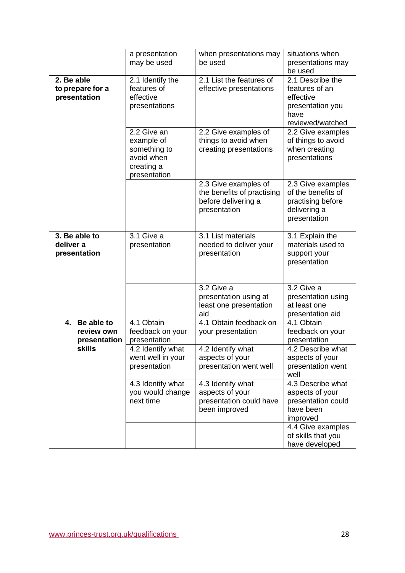|                                                | a presentation<br>may be used                                                         | when presentations may<br>be used                                                         | situations when<br>presentations may<br>be used                                                 |
|------------------------------------------------|---------------------------------------------------------------------------------------|-------------------------------------------------------------------------------------------|-------------------------------------------------------------------------------------------------|
| 2. Be able<br>to prepare for a<br>presentation | 2.1 Identify the<br>features of<br>effective<br>presentations                         | 2.1 List the features of<br>effective presentations                                       | 2.1 Describe the<br>features of an<br>effective<br>presentation you<br>have<br>reviewed/watched |
|                                                | 2.2 Give an<br>example of<br>something to<br>avoid when<br>creating a<br>presentation | 2.2 Give examples of<br>things to avoid when<br>creating presentations                    | 2.2 Give examples<br>of things to avoid<br>when creating<br>presentations                       |
|                                                |                                                                                       | 2.3 Give examples of<br>the benefits of practising<br>before delivering a<br>presentation | 2.3 Give examples<br>of the benefits of<br>practising before<br>delivering a<br>presentation    |
| 3. Be able to<br>deliver a<br>presentation     | 3.1 Give a<br>presentation                                                            | 3.1 List materials<br>needed to deliver your<br>presentation                              | 3.1 Explain the<br>materials used to<br>support your<br>presentation                            |
|                                                |                                                                                       | 3.2 Give a<br>presentation using at<br>least one presentation<br>aid                      | 3.2 Give a<br>presentation using<br>at least one<br>presentation aid                            |
| 4. Be able to<br>review own<br>presentation    | 4.1 Obtain<br>feedback on your<br>presentation                                        | 4.1 Obtain feedback on<br>your presentation                                               | 4.1 Obtain<br>feedback on your<br>presentation                                                  |
| <b>skills</b>                                  | 4.2 Identify what<br>went well in your<br>presentation                                | 4.2 Identify what<br>aspects of your<br>presentation went well                            | 4.2 Describe what<br>aspects of your<br>presentation went<br>well                               |
|                                                | 4.3 Identify what<br>you would change<br>next time                                    | 4.3 Identify what<br>aspects of your<br>presentation could have<br>been improved          | 4.3 Describe what<br>aspects of your<br>presentation could<br>have been<br>improved             |
|                                                |                                                                                       |                                                                                           | 4.4 Give examples<br>of skills that you<br>have developed                                       |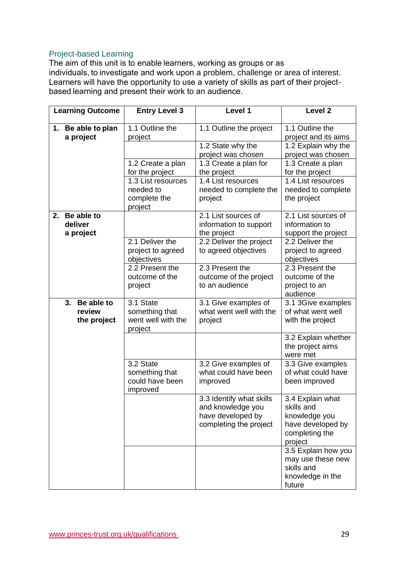## Project-based Learning

The aim of this unit is to enable learners, working as groups or as individuals, to investigate and work upon a problem, challenge or area of interest. Learners will have the opportunity to use a variety of skills as part of their projectbased learning and present their work to an audience.  

|    | <b>Learning Outcome</b>         | <b>Entry Level 3</b>                                       | Level 1                                                                                      | Level <sub>2</sub>                                                                                |
|----|---------------------------------|------------------------------------------------------------|----------------------------------------------------------------------------------------------|---------------------------------------------------------------------------------------------------|
|    | 1. Be able to plan<br>a project | 1.1 Outline the<br>project                                 | 1.1 Outline the project                                                                      | 1.1 Outline the<br>project and its aims                                                           |
|    |                                 |                                                            | 1.2 State why the                                                                            | 1.2 Explain why the                                                                               |
|    |                                 | 1.2 Create a plan                                          | project was chosen<br>1.3 Create a plan for                                                  | project was chosen<br>1.3 Create a plan                                                           |
|    |                                 | for the project                                            | the project                                                                                  | for the project                                                                                   |
|    |                                 | 1.3 List resources                                         | 1.4 List resources                                                                           | 1.4 List resources                                                                                |
|    |                                 | needed to                                                  | needed to complete the                                                                       | needed to complete                                                                                |
|    |                                 | complete the<br>project                                    | project                                                                                      | the project                                                                                       |
| 2. | Be able to                      |                                                            | 2.1 List sources of                                                                          | 2.1 List sources of                                                                               |
|    | deliver                         |                                                            | information to support                                                                       | information to                                                                                    |
|    | a project                       | 2.1 Deliver the                                            | the project<br>2.2 Deliver the project                                                       | support the project<br>2.2 Deliver the                                                            |
|    |                                 | project to agreed                                          | to agreed objectives                                                                         | project to agreed                                                                                 |
|    |                                 | objectives                                                 |                                                                                              | objectives                                                                                        |
|    |                                 | 2.2 Present the                                            | 2.3 Present the                                                                              | 2.3 Present the                                                                                   |
|    |                                 | outcome of the                                             | outcome of the project                                                                       | outcome of the                                                                                    |
|    |                                 | project                                                    | to an audience                                                                               | project to an                                                                                     |
|    | Be able to<br>3.                | 3.1 State                                                  | 3.1 Give examples of                                                                         | audience<br>3.1 3Give examples                                                                    |
|    | review                          | something that                                             | what went well with the                                                                      | of what went well                                                                                 |
|    | the project                     | went well with the                                         | project                                                                                      | with the project                                                                                  |
|    |                                 | project                                                    |                                                                                              |                                                                                                   |
|    |                                 |                                                            |                                                                                              | 3.2 Explain whether<br>the project aims<br>were met                                               |
|    |                                 | 3.2 State<br>something that<br>could have been<br>improved | 3.2 Give examples of<br>what could have been<br>improved                                     | 3.3 Give examples<br>of what could have<br>been improved                                          |
|    |                                 |                                                            | 3.3 Identify what skills<br>and knowledge you<br>have developed by<br>completing the project | 3.4 Explain what<br>skills and<br>knowledge you<br>have developed by<br>completing the<br>project |
|    |                                 |                                                            |                                                                                              | 3.5 Explain how you<br>may use these new<br>skills and<br>knowledge in the<br>future              |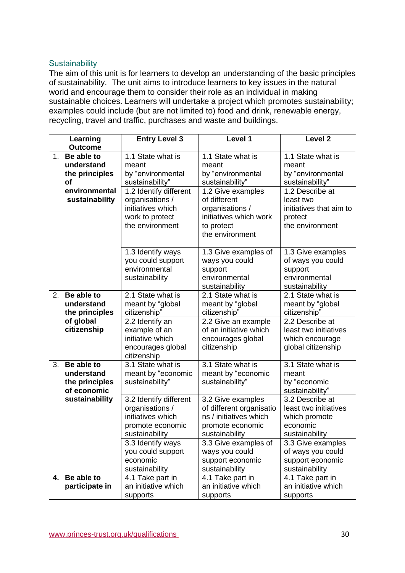## **Sustainability**

The aim of this unit is for learners to develop an understanding of the basic principles of sustainability. The unit aims to introduce learners to key issues in the natural world and encourage them to consider their role as an individual in making sustainable choices. Learners will undertake a project which promotes sustainability; examples could include (but are not limited to) food and drink, renewable energy, recycling, travel and traffic, purchases and waste and buildings.

|                | Learning<br><b>Outcome</b>                                | <b>Entry Level 3</b>                                                                                 | Level 1                                                                                                         | Level <sub>2</sub>                                                                      |
|----------------|-----------------------------------------------------------|------------------------------------------------------------------------------------------------------|-----------------------------------------------------------------------------------------------------------------|-----------------------------------------------------------------------------------------|
| 1 <sub>1</sub> | Be able to<br>understand<br>the principles<br>of          | 1.1 State what is<br>meant<br>by "environmental<br>sustainability"                                   | 1.1 State what is<br>meant<br>by "environmental<br>sustainability"                                              | 1.1 State what is<br>meant<br>by "environmental<br>sustainability"                      |
|                | environmental<br>sustainability                           | 1.2 Identify different<br>organisations /<br>initiatives which<br>work to protect<br>the environment | 1.2 Give examples<br>of different<br>organisations /<br>initiatives which work<br>to protect<br>the environment | 1.2 Describe at<br>least two<br>initiatives that aim to<br>protect<br>the environment   |
|                |                                                           | 1.3 Identify ways<br>you could support<br>environmental<br>sustainability                            | 1.3 Give examples of<br>ways you could<br>support<br>environmental<br>sustainability                            | 1.3 Give examples<br>of ways you could<br>support<br>environmental<br>sustainability    |
| 2.             | Be able to<br>understand<br>the principles                | 2.1 State what is<br>meant by "global<br>citizenship"                                                | 2.1 State what is<br>meant by "global<br>citizenship"                                                           | 2.1 State what is<br>meant by "global<br>citizenship"                                   |
|                | of global<br>citizenship                                  | 2.2 Identify an<br>example of an<br>initiative which<br>encourages global<br>citizenship             | 2.2 Give an example<br>of an initiative which<br>encourages global<br>citizenship                               | 2.2 Describe at<br>least two initiatives<br>which encourage<br>global citizenship       |
| 3.             | Be able to<br>understand<br>the principles<br>of economic | 3.1 State what is<br>meant by "economic<br>sustainability"                                           | 3.1 State what is<br>meant by "economic<br>sustainability"                                                      | 3.1 State what is<br>meant<br>by "economic<br>sustainability"                           |
|                | sustainability                                            | 3.2 Identify different<br>organisations /<br>initiatives which<br>promote economic<br>sustainability | 3.2 Give examples<br>of different organisatio<br>ns / initiatives which<br>promote economic<br>sustainability   | 3.2 Describe at<br>least two initiatives<br>which promote<br>economic<br>sustainability |
|                |                                                           | 3.3 Identify ways<br>you could support<br>economic<br>sustainability                                 | 3.3 Give examples of<br>ways you could<br>support economic<br>sustainability                                    | 3.3 Give examples<br>of ways you could<br>support economic<br>sustainability            |
| 4.             | Be able to<br>participate in                              | 4.1 Take part in<br>an initiative which<br>supports                                                  | 4.1 Take part in<br>an initiative which<br>supports                                                             | 4.1 Take part in<br>an initiative which<br>supports                                     |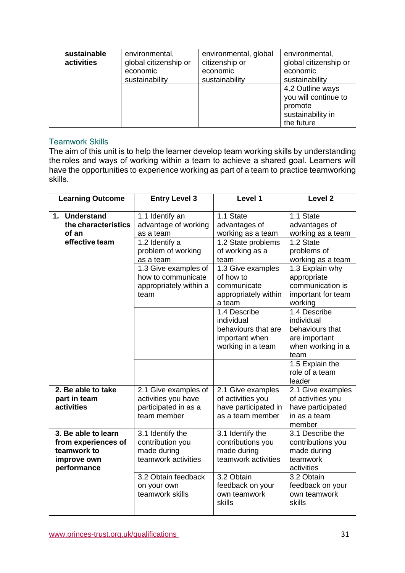| sustainable<br>activities | environmental,<br>global citizenship or<br>economic<br>sustainability | environmental, global<br>citizenship or<br>economic<br>sustainability | environmental,<br>global citizenship or<br>economic<br>sustainability                  |
|---------------------------|-----------------------------------------------------------------------|-----------------------------------------------------------------------|----------------------------------------------------------------------------------------|
|                           |                                                                       |                                                                       | 4.2 Outline ways<br>you will continue to<br>promote<br>sustainability in<br>the future |

### Teamwork Skills

The aim of this unit is to help the learner develop team working skills by understanding the roles and ways of working within a team to achieve a shared goal. Learners will have the opportunities to experience working as part of a team to practice teamworking skills.  

| <b>Learning Outcome</b>                                                                 | <b>Entry Level 3</b>                                                               | Level 1                                                                                  | Level <sub>2</sub>                                                                          |
|-----------------------------------------------------------------------------------------|------------------------------------------------------------------------------------|------------------------------------------------------------------------------------------|---------------------------------------------------------------------------------------------|
| 1. Understand<br>the characteristics<br>of an<br>effective team                         | 1.1 Identify an<br>advantage of working<br>as a team<br>1.2 Identify a             | 1.1 State<br>advantages of<br>working as a team<br>1.2 State problems                    | 1.1 State<br>advantages of<br>working as a team<br>1.2 State                                |
|                                                                                         | problem of working<br>as a team                                                    | of working as a<br>team                                                                  | problems of<br>working as a team                                                            |
|                                                                                         | 1.3 Give examples of<br>how to communicate<br>appropriately within a<br>team       | 1.3 Give examples<br>of how to<br>communicate<br>appropriately within<br>a team          | 1.3 Explain why<br>appropriate<br>communication is<br>important for team<br>working         |
|                                                                                         |                                                                                    | 1.4 Describe<br>individual<br>behaviours that are<br>important when<br>working in a team | 1.4 Describe<br>individual<br>behaviours that<br>are important<br>when working in a<br>team |
|                                                                                         |                                                                                    |                                                                                          | 1.5 Explain the<br>role of a team<br>leader                                                 |
| 2. Be able to take<br>part in team<br>activities                                        | 2.1 Give examples of<br>activities you have<br>participated in as a<br>team member | 2.1 Give examples<br>of activities you<br>have participated in<br>as a team member       | 2.1 Give examples<br>of activities you<br>have participated<br>in as a team<br>member       |
| 3. Be able to learn<br>from experiences of<br>teamwork to<br>improve own<br>performance | 3.1 Identify the<br>contribution you<br>made during<br>teamwork activities         | 3.1 Identify the<br>contributions you<br>made during<br>teamwork activities              | 3.1 Describe the<br>contributions you<br>made during<br>teamwork<br>activities              |
|                                                                                         | 3.2 Obtain feedback<br>on your own<br>teamwork skills                              | 3.2 Obtain<br>feedback on your<br>own teamwork<br>skills                                 | 3.2 Obtain<br>feedback on your<br>own teamwork<br>skills                                    |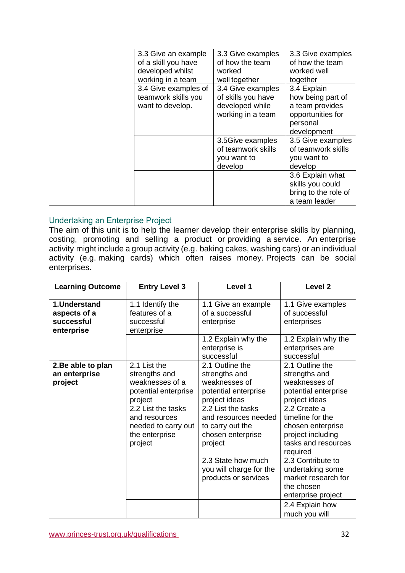| 3.3 Give an example  | 3.3 Give examples  | 3.3 Give examples    |
|----------------------|--------------------|----------------------|
| of a skill you have  | of how the team    | of how the team      |
| developed whilst     | worked             | worked well          |
| working in a team    | well together      | together             |
| 3.4 Give examples of | 3.4 Give examples  | 3.4 Explain          |
| teamwork skills you  | of skills you have | how being part of    |
| want to develop.     | developed while    | a team provides      |
|                      | working in a team  | opportunities for    |
|                      |                    | personal             |
|                      |                    | development          |
|                      | 3.5Give examples   | 3.5 Give examples    |
|                      | of teamwork skills | of teamwork skills   |
|                      | you want to        | you want to          |
|                      | develop            | develop              |
|                      |                    | 3.6 Explain what     |
|                      |                    | skills you could     |
|                      |                    | bring to the role of |
|                      |                    | a team leader        |

### Undertaking an Enterprise Project

The aim of this unit is to help the learner develop their enterprise skills by planning, costing, promoting and selling a product or providing a service. An enterprise activity might include a group activity (e.g. baking cakes, washing cars) or an individual activity (e.g. making cards) which often raises money. Projects can be social enterprises.

| <b>Learning Outcome</b>                                  | <b>Entry Level 3</b>                                                                    | Level 1                                                                                        | Level <sub>2</sub>                                                                                                  |
|----------------------------------------------------------|-----------------------------------------------------------------------------------------|------------------------------------------------------------------------------------------------|---------------------------------------------------------------------------------------------------------------------|
| 1.Understand<br>aspects of a<br>successful<br>enterprise | 1.1 Identify the<br>features of a<br>successful<br>enterprise                           | 1.1 Give an example<br>of a successful<br>enterprise                                           | 1.1 Give examples<br>of successful<br>enterprises                                                                   |
|                                                          |                                                                                         | 1.2 Explain why the<br>enterprise is<br>successful                                             | 1.2 Explain why the<br>enterprises are<br>successful                                                                |
| 2. Be able to plan<br>an enterprise<br>project           | 2.1 List the<br>strengths and<br>weaknesses of a<br>potential enterprise<br>project     | 2.1 Outline the<br>strengths and<br>weaknesses of<br>potential enterprise<br>project ideas     | 2.1 Outline the<br>strengths and<br>weaknesses of<br>potential enterprise<br>project ideas                          |
|                                                          | 2.2 List the tasks<br>and resources<br>needed to carry out<br>the enterprise<br>project | 2.2 List the tasks<br>and resources needed<br>to carry out the<br>chosen enterprise<br>project | 2.2 Create a<br>timeline for the<br>chosen enterprise<br>project including<br>tasks and resources<br>required       |
|                                                          |                                                                                         | 2.3 State how much<br>you will charge for the<br>products or services                          | 2.3 Contribute to<br>undertaking some<br>market research for<br>the chosen<br>enterprise project<br>2.4 Explain how |
|                                                          |                                                                                         |                                                                                                | much you will                                                                                                       |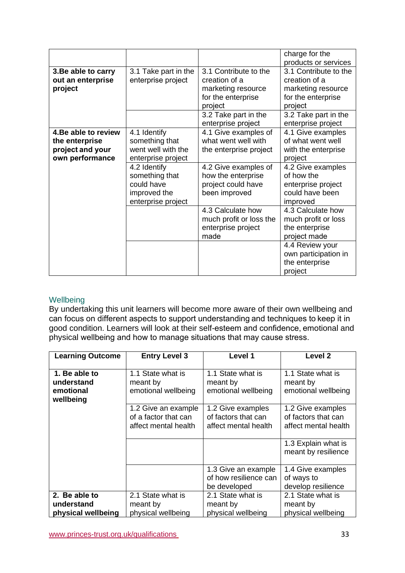|                                                                               |                                                                                    |                                                                                    | charge for the                                                                       |
|-------------------------------------------------------------------------------|------------------------------------------------------------------------------------|------------------------------------------------------------------------------------|--------------------------------------------------------------------------------------|
|                                                                               |                                                                                    |                                                                                    | products or services                                                                 |
| 3. Be able to carry<br>out an enterprise<br>project                           | 3.1 Take part in the<br>enterprise project                                         | 3.1 Contribute to the<br>creation of a<br>marketing resource<br>for the enterprise | 3.1 Contribute to the<br>creation of a<br>marketing resource<br>for the enterprise   |
|                                                                               |                                                                                    | project                                                                            | project                                                                              |
|                                                                               |                                                                                    | 3.2 Take part in the<br>enterprise project                                         | 3.2 Take part in the<br>enterprise project                                           |
| 4. Be able to review<br>the enterprise<br>project and your<br>own performance | 4.1 Identify<br>something that<br>went well with the<br>enterprise project         | 4.1 Give examples of<br>what went well with<br>the enterprise project              | 4.1 Give examples<br>of what went well<br>with the enterprise<br>project             |
|                                                                               | 4.2 Identify<br>something that<br>could have<br>improved the<br>enterprise project | 4.2 Give examples of<br>how the enterprise<br>project could have<br>been improved  | 4.2 Give examples<br>of how the<br>enterprise project<br>could have been<br>improved |
|                                                                               |                                                                                    | 4.3 Calculate how<br>much profit or loss the<br>enterprise project<br>made         | 4.3 Calculate how<br>much profit or loss<br>the enterprise<br>project made           |
|                                                                               |                                                                                    |                                                                                    | 4.4 Review your<br>own participation in<br>the enterprise<br>project                 |

### Wellbeing

By undertaking this unit learners will become more aware of their own wellbeing and can focus on different aspects to support understanding and techniques to keep it in good condition. Learners will look at their self-esteem and confidence, emotional and physical wellbeing and how to manage situations that may cause stress.  

| <b>Learning Outcome</b>                               | <b>Entry Level 3</b>                                                | Level 1                                                          | Level <sub>2</sub>                                               |
|-------------------------------------------------------|---------------------------------------------------------------------|------------------------------------------------------------------|------------------------------------------------------------------|
| 1. Be able to<br>understand<br>emotional<br>wellbeing | 1.1 State what is<br>meant by<br>emotional wellbeing                | 1.1 State what is<br>meant by<br>emotional wellbeing             | 1.1 State what is<br>meant by<br>emotional wellbeing             |
|                                                       | 1.2 Give an example<br>of a factor that can<br>affect mental health | 1.2 Give examples<br>of factors that can<br>affect mental health | 1.2 Give examples<br>of factors that can<br>affect mental health |
|                                                       |                                                                     |                                                                  | 1.3 Explain what is<br>meant by resilience                       |
|                                                       |                                                                     | 1.3 Give an example<br>of how resilience can<br>be developed     | 1.4 Give examples<br>of ways to<br>develop resilience            |
| 2. Be able to                                         | 2.1 State what is                                                   | 2.1 State what is                                                | 2.1 State what is                                                |
| understand<br>physical wellbeing                      | meant by<br>physical wellbeing                                      | meant by<br>physical wellbeing                                   | meant by<br>physical wellbeing                                   |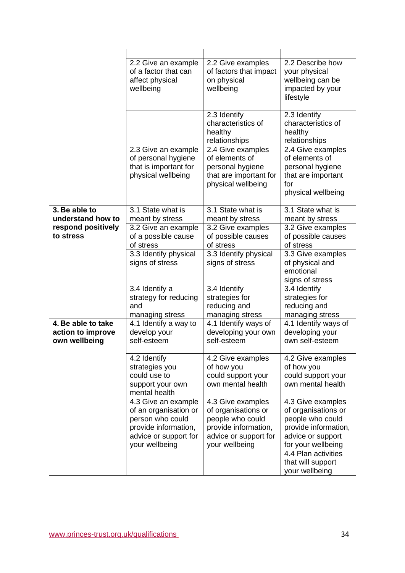|                                                          | 2.2 Give an example<br>of a factor that can<br>affect physical<br>wellbeing                                                         | 2.2 Give examples<br>of factors that impact<br>on physical<br>wellbeing                                                         | 2.2 Describe how<br>your physical<br>wellbeing can be<br>impacted by your<br>lifestyle                                          |
|----------------------------------------------------------|-------------------------------------------------------------------------------------------------------------------------------------|---------------------------------------------------------------------------------------------------------------------------------|---------------------------------------------------------------------------------------------------------------------------------|
|                                                          |                                                                                                                                     | 2.3 Identify<br>characteristics of<br>healthy<br>relationships                                                                  | 2.3 Identify<br>characteristics of<br>healthy<br>relationships                                                                  |
|                                                          | 2.3 Give an example<br>of personal hygiene<br>that is important for<br>physical wellbeing                                           | 2.4 Give examples<br>of elements of<br>personal hygiene<br>that are important for<br>physical wellbeing                         | 2.4 Give examples<br>of elements of<br>personal hygiene<br>that are important<br>for<br>physical wellbeing                      |
| 3. Be able to<br>understand how to                       | 3.1 State what is                                                                                                                   | 3.1 State what is                                                                                                               | 3.1 State what is                                                                                                               |
| respond positively<br>to stress                          | meant by stress<br>3.2 Give an example<br>of a possible cause<br>of stress                                                          | meant by stress<br>3.2 Give examples<br>of possible causes<br>of stress                                                         | meant by stress<br>3.2 Give examples<br>of possible causes<br>of stress                                                         |
|                                                          | 3.3 Identify physical<br>signs of stress                                                                                            | 3.3 Identify physical<br>signs of stress                                                                                        | 3.3 Give examples<br>of physical and<br>emotional<br>signs of stress                                                            |
|                                                          | 3.4 Identify a<br>strategy for reducing<br>and<br>managing stress                                                                   | 3.4 Identify<br>strategies for<br>reducing and<br>managing stress                                                               | 3.4 Identify<br>strategies for<br>reducing and<br>managing stress                                                               |
| 4. Be able to take<br>action to improve<br>own wellbeing | 4.1 Identify a way to<br>develop your<br>self-esteem                                                                                | 4.1 Identify ways of<br>developing your own<br>self-esteem                                                                      | 4.1 Identify ways of<br>developing your<br>own self-esteem                                                                      |
|                                                          | 4.2 Identify<br>strategies you<br>could use to<br>support your own<br>mental health                                                 | 4.2 Give examples<br>of how you<br>could support your<br>own mental health                                                      | 4.2 Give examples<br>of how you<br>could support your<br>own mental health                                                      |
|                                                          | 4.3 Give an example<br>of an organisation or<br>person who could<br>provide information,<br>advice or support for<br>your wellbeing | 4.3 Give examples<br>of organisations or<br>people who could<br>provide information,<br>advice or support for<br>your wellbeing | 4.3 Give examples<br>of organisations or<br>people who could<br>provide information,<br>advice or support<br>for your wellbeing |
|                                                          |                                                                                                                                     |                                                                                                                                 | 4.4 Plan activities<br>that will support<br>your wellbeing                                                                      |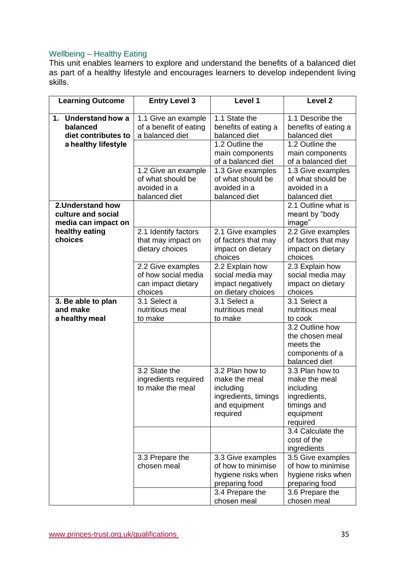## Wellbeing – Healthy Eating

This unit enables learners to explore and understand the benefits of a balanced diet as part of a healthy lifestyle and encourages learners to develop independent living skills. 

| <b>Learning Outcome</b>                                        | <b>Entry Level 3</b>                                                      | Level 1                                                                                            | Level <sub>2</sub>                                                                                    |
|----------------------------------------------------------------|---------------------------------------------------------------------------|----------------------------------------------------------------------------------------------------|-------------------------------------------------------------------------------------------------------|
| 1. Understand how a<br>balanced<br>diet contributes to         | 1.1 Give an example<br>of a benefit of eating<br>a balanced diet          | 1.1 State the<br>benefits of eating a<br>balanced diet                                             | 1.1 Describe the<br>benefits of eating a<br>balanced diet                                             |
| a healthy lifestyle                                            |                                                                           | 1.2 Outline the<br>main components<br>of a balanced diet                                           | 1.2 Outline the<br>main components<br>of a balanced diet                                              |
|                                                                | 1.2 Give an example<br>of what should be<br>avoided in a<br>balanced diet | 1.3 Give examples<br>of what should be<br>avoided in a<br>balanced diet                            | 1.3 Give examples<br>of what should be<br>avoided in a<br>balanced diet                               |
| 2. Understand how<br>culture and social<br>media can impact on |                                                                           |                                                                                                    | 2.1 Outline what is<br>meant by "body<br>image"                                                       |
| healthy eating<br>choices                                      | 2.1 Identify factors<br>that may impact on<br>dietary choices             | 2.1 Give examples<br>of factors that may<br>impact on dietary<br>choices                           | 2.2 Give examples<br>of factors that may<br>impact on dietary<br>choices                              |
|                                                                | 2.2 Give examples<br>of how social media<br>can impact dietary<br>choices | 2.2 Explain how<br>social media may<br>impact negatively<br>on dietary choices                     | 2.3 Explain how<br>social media may<br>impact on dietary<br>choices                                   |
| 3. Be able to plan<br>and make<br>a healthy meal               | 3.1 Select a<br>nutritious meal<br>to make                                | 3.1 Select a<br>nutritious meal<br>to make                                                         | 3.1 Select a<br>nutritious meal<br>to cook                                                            |
|                                                                |                                                                           |                                                                                                    | 3.2 Outline how<br>the chosen meal<br>meets the<br>components of a<br>balanced diet                   |
|                                                                | 3.2 State the<br>ingredients required<br>to make the meal                 | 3.2 Plan how to<br>make the meal<br>including<br>ingredients, timings<br>and equipment<br>required | 3.3 Plan how to<br>make the meal<br>including<br>ingredients,<br>timings and<br>equipment<br>required |
|                                                                |                                                                           |                                                                                                    | 3.4 Calculate the<br>cost of the<br>ingredients                                                       |
|                                                                | 3.3 Prepare the<br>chosen meal                                            | 3.3 Give examples<br>of how to minimise<br>hygiene risks when<br>preparing food                    | 3.5 Give examples<br>of how to minimise<br>hygiene risks when<br>preparing food                       |
|                                                                |                                                                           | 3.4 Prepare the<br>chosen meal                                                                     | 3.6 Prepare the<br>chosen meal                                                                        |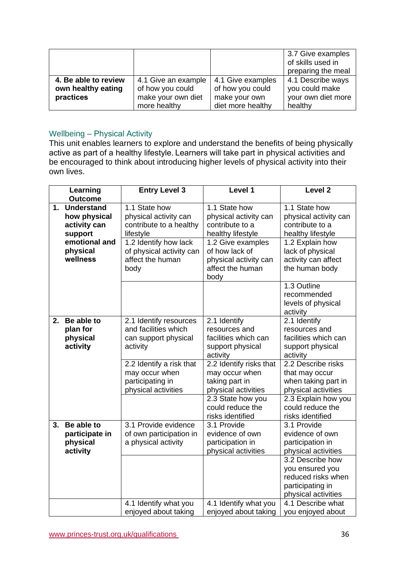|                      |                     |                   | 3.7 Give examples<br>of skills used in<br>preparing the meal |
|----------------------|---------------------|-------------------|--------------------------------------------------------------|
| 4. Be able to review | 4.1 Give an example | 4.1 Give examples | 4.1 Describe ways                                            |
| own healthy eating   | of how you could    | of how you could  | you could make                                               |
| practices            | make your own diet  | make your own     | your own diet more                                           |
|                      | more healthy        | diet more healthy | healthy                                                      |

## Wellbeing – Physical Activity

This unit enables learners to explore and understand the benefits of being physically active as part of a healthy lifestyle. Learners will take part in physical activities and be encouraged to think about introducing higher levels of physical activity into their own lives.

|    | Learning                                                                                                                | <b>Entry Level 3</b>                                                                                                                                            | Level 1                                                                                                                                                            | Level <sub>2</sub>                                                                                                                                             |
|----|-------------------------------------------------------------------------------------------------------------------------|-----------------------------------------------------------------------------------------------------------------------------------------------------------------|--------------------------------------------------------------------------------------------------------------------------------------------------------------------|----------------------------------------------------------------------------------------------------------------------------------------------------------------|
| 1. | <b>Outcome</b><br><b>Understand</b><br>how physical<br>activity can<br>support<br>emotional and<br>physical<br>wellness | 1.1 State how<br>physical activity can<br>contribute to a healthy<br>lifestyle<br>1.2 Identify how lack<br>of physical activity can<br>affect the human<br>body | 1.1 State how<br>physical activity can<br>contribute to a<br>healthy lifestyle<br>1.2 Give examples<br>of how lack of<br>physical activity can<br>affect the human | 1.1 State how<br>physical activity can<br>contribute to a<br>healthy lifestyle<br>1.2 Explain how<br>lack of physical<br>activity can affect<br>the human body |
|    |                                                                                                                         |                                                                                                                                                                 | body                                                                                                                                                               | 1.3 Outline<br>recommended<br>levels of physical<br>activity                                                                                                   |
| 2. | Be able to<br>plan for<br>physical<br>activity                                                                          | 2.1 Identify resources<br>and facilities which<br>can support physical<br>activity                                                                              | 2.1 Identify<br>resources and<br>facilities which can<br>support physical<br>activity                                                                              | 2.1 Identify<br>resources and<br>facilities which can<br>support physical<br>activity                                                                          |
|    |                                                                                                                         | 2.2 Identify a risk that<br>may occur when<br>participating in<br>physical activities                                                                           | 2.2 Identify risks that<br>may occur when<br>taking part in<br>physical activities                                                                                 | 2.2 Describe risks<br>that may occur<br>when taking part in<br>physical activities                                                                             |
|    |                                                                                                                         |                                                                                                                                                                 | 2.3 State how you<br>could reduce the<br>risks identified                                                                                                          | 2.3 Explain how you<br>could reduce the<br>risks identified                                                                                                    |
| 3. | Be able to<br>participate in<br>physical<br>activity                                                                    | 3.1 Provide evidence<br>of own participation in<br>a physical activity                                                                                          | 3.1 Provide<br>evidence of own<br>participation in<br>physical activities                                                                                          | 3.1 Provide<br>evidence of own<br>participation in<br>physical activities                                                                                      |
|    |                                                                                                                         |                                                                                                                                                                 |                                                                                                                                                                    | 3.2 Describe how<br>you ensured you<br>reduced risks when<br>participating in<br>physical activities                                                           |
|    |                                                                                                                         | 4.1 Identify what you<br>enjoyed about taking                                                                                                                   | 4.1 Identify what you<br>enjoyed about taking                                                                                                                      | 4.1 Describe what<br>you enjoyed about                                                                                                                         |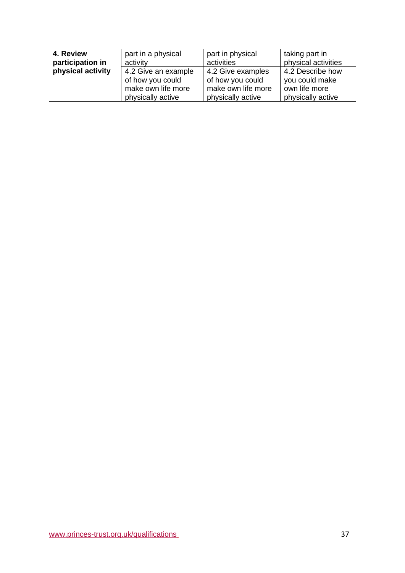| 4. Review<br>participation in | part in a physical<br>activity | part in physical<br>activities | taking part in<br>physical activities |
|-------------------------------|--------------------------------|--------------------------------|---------------------------------------|
| physical activity             | 4.2 Give an example            | 4.2 Give examples              | 4.2 Describe how                      |
|                               | of how you could               | of how you could               | you could make                        |
|                               | make own life more             | make own life more             | own life more                         |
|                               | physically active              | physically active              | physically active                     |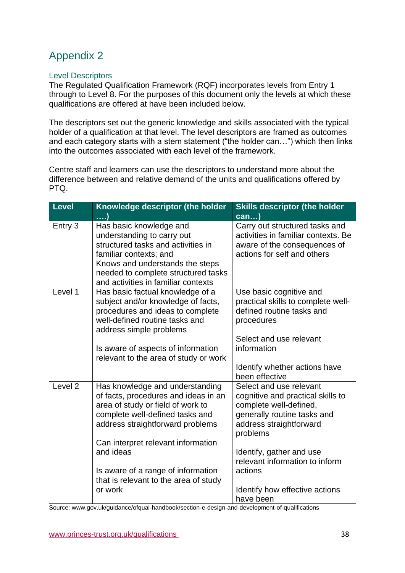### <span id="page-37-0"></span>Level Descriptors

The Regulated Qualification Framework (RQF) incorporates levels from Entry 1 through to Level 8. For the purposes of this document only the levels at which these qualifications are offered at have been included below.

The descriptors set out the generic knowledge and skills associated with the typical holder of a qualification at that level. The level descriptors are framed as outcomes and each category starts with a stem statement ("the holder can…") which then links into the outcomes associated with each level of the framework.

Centre staff and learners can use the descriptors to understand more about the difference between and relative demand of the units and qualifications offered by PTQ.

| <b>Level</b>       | Knowledge descriptor (the holder                                                                                                                                                                                                       | <b>Skills descriptor (the holder</b>                                                                                                                         |
|--------------------|----------------------------------------------------------------------------------------------------------------------------------------------------------------------------------------------------------------------------------------|--------------------------------------------------------------------------------------------------------------------------------------------------------------|
|                    | )                                                                                                                                                                                                                                      | can                                                                                                                                                          |
| Entry 3            | Has basic knowledge and<br>understanding to carry out<br>structured tasks and activities in<br>familiar contexts; and<br>Knows and understands the steps<br>needed to complete structured tasks<br>and activities in familiar contexts | Carry out structured tasks and<br>activities in familiar contexts. Be<br>aware of the consequences of<br>actions for self and others                         |
| Level 1            | Has basic factual knowledge of a<br>subject and/or knowledge of facts,<br>procedures and ideas to complete<br>well-defined routine tasks and<br>address simple problems                                                                | Use basic cognitive and<br>practical skills to complete well-<br>defined routine tasks and<br>procedures<br>Select and use relevant                          |
|                    | Is aware of aspects of information<br>relevant to the area of study or work                                                                                                                                                            | information<br>Identify whether actions have                                                                                                                 |
|                    |                                                                                                                                                                                                                                        | been effective                                                                                                                                               |
| Level <sub>2</sub> | Has knowledge and understanding<br>of facts, procedures and ideas in an<br>area of study or field of work to<br>complete well-defined tasks and<br>address straightforward problems                                                    | Select and use relevant<br>cognitive and practical skills to<br>complete well-defined,<br>generally routine tasks and<br>address straightforward<br>problems |
|                    | Can interpret relevant information                                                                                                                                                                                                     |                                                                                                                                                              |
|                    | and ideas                                                                                                                                                                                                                              | Identify, gather and use<br>relevant information to inform                                                                                                   |
|                    | Is aware of a range of information                                                                                                                                                                                                     | actions                                                                                                                                                      |
|                    | that is relevant to the area of study                                                                                                                                                                                                  |                                                                                                                                                              |
|                    | or work                                                                                                                                                                                                                                | Identify how effective actions<br>have been                                                                                                                  |
|                    |                                                                                                                                                                                                                                        |                                                                                                                                                              |

Source: www.gov.uk/guidance/ofqual-handbook/section-e-design-and-development-of-qualifications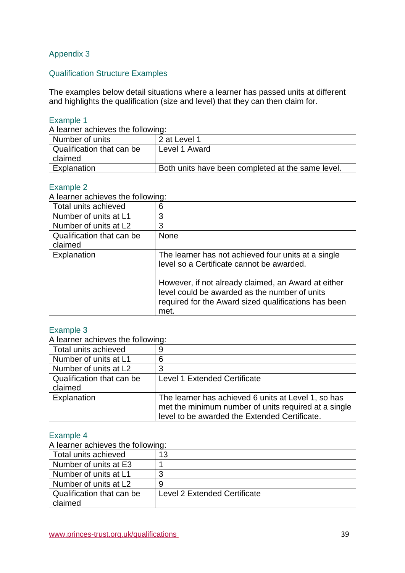## <span id="page-38-0"></span>Qualification Structure Examples

The examples below detail situations where a learner has passed units at different and highlights the qualification (size and level) that they can then claim for.

### Example 1

A learner achieves the following:

| Number of units           | 2 at Level 1                                      |
|---------------------------|---------------------------------------------------|
| Qualification that can be | Level 1 Award                                     |
| claimed                   |                                                   |
| Explanation               | Both units have been completed at the same level. |

### Example 2

A learner achieves the following:

|                           | ີ                                                    |
|---------------------------|------------------------------------------------------|
| Total units achieved      | 6                                                    |
| Number of units at L1     | 3                                                    |
| Number of units at L2     | 3                                                    |
| Qualification that can be | <b>None</b>                                          |
| claimed                   |                                                      |
| Explanation               | The learner has not achieved four units at a single  |
|                           | level so a Certificate cannot be awarded.            |
|                           |                                                      |
|                           | However, if not already claimed, an Award at either  |
|                           | level could be awarded as the number of units        |
|                           | required for the Award sized qualifications has been |
|                           | met.                                                 |

### Example 3

A learner achieves the following:

| Total units achieved                 |                                                                                                                                                              |
|--------------------------------------|--------------------------------------------------------------------------------------------------------------------------------------------------------------|
| Number of units at L1                |                                                                                                                                                              |
| Number of units at L2                | 3                                                                                                                                                            |
| Qualification that can be<br>claimed | Level 1 Extended Certificate                                                                                                                                 |
| Explanation                          | The learner has achieved 6 units at Level 1, so has<br>met the minimum number of units required at a single<br>level to be awarded the Extended Certificate. |

### Example 4

A learner achieves the following:

| Total units achieved      | 13                           |
|---------------------------|------------------------------|
| Number of units at E3     |                              |
| Number of units at L1     |                              |
| Number of units at L2     |                              |
| Qualification that can be | Level 2 Extended Certificate |
| claimed                   |                              |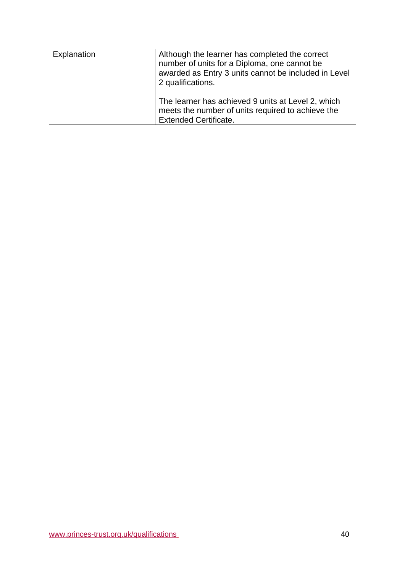| Explanation | Although the learner has completed the correct<br>number of units for a Diploma, one cannot be<br>awarded as Entry 3 units cannot be included in Level<br>2 qualifications. |
|-------------|-----------------------------------------------------------------------------------------------------------------------------------------------------------------------------|
|             | The learner has achieved 9 units at Level 2, which<br>meets the number of units required to achieve the<br><b>Extended Certificate.</b>                                     |